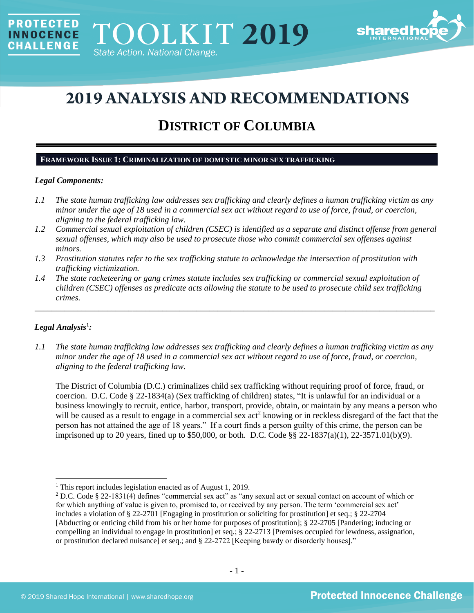

# **2019 ANALYSIS AND RECOMMENDATIONS**

## **DISTRICT OF COLUMBIA**

## **FRAMEWORK ISSUE 1: CRIMINALIZATION OF DOMESTIC MINOR SEX TRAFFICKING**

## *Legal Components:*

**PROTECTED** 

**INNOCENCE CHALLENGE** 

- *1.1 The state human trafficking law addresses sex trafficking and clearly defines a human trafficking victim as any minor under the age of 18 used in a commercial sex act without regard to use of force, fraud, or coercion, aligning to the federal trafficking law.*
- *1.2 Commercial sexual exploitation of children (CSEC) is identified as a separate and distinct offense from general sexual offenses, which may also be used to prosecute those who commit commercial sex offenses against minors.*
- *1.3 Prostitution statutes refer to the sex trafficking statute to acknowledge the intersection of prostitution with trafficking victimization.*
- *1.4 The state racketeering or gang crimes statute includes sex trafficking or commercial sexual exploitation of children (CSEC) offenses as predicate acts allowing the statute to be used to prosecute child sex trafficking crimes.*

## $Legal$  Analysis<sup>1</sup>:

*1.1 The state human trafficking law addresses sex trafficking and clearly defines a human trafficking victim as any minor under the age of 18 used in a commercial sex act without regard to use of force, fraud, or coercion, aligning to the federal trafficking law.*

\_\_\_\_\_\_\_\_\_\_\_\_\_\_\_\_\_\_\_\_\_\_\_\_\_\_\_\_\_\_\_\_\_\_\_\_\_\_\_\_\_\_\_\_\_\_\_\_\_\_\_\_\_\_\_\_\_\_\_\_\_\_\_\_\_\_\_\_\_\_\_\_\_\_\_\_\_\_\_\_\_\_\_\_\_\_\_\_\_\_\_\_\_\_

The District of Columbia (D.C.) criminalizes child sex trafficking without requiring proof of force, fraud, or coercion. D.C. Code § 22-1834(a) (Sex trafficking of children) states, "It is unlawful for an individual or a business knowingly to recruit, entice, harbor, transport, provide, obtain, or maintain by any means a person who will be caused as a result to engage in a commercial sex act<sup>2</sup> knowing or in reckless disregard of the fact that the person has not attained the age of 18 years." If a court finds a person guilty of this crime, the person can be imprisoned up to 20 years, fined up to \$50,000, or both. D.C. Code §§ 22-1837(a)(1), 22-3571.01(b)(9).

<sup>&</sup>lt;sup>1</sup> This report includes legislation enacted as of August 1, 2019.

<sup>&</sup>lt;sup>2</sup> D.C. Code § 22-1831(4) defines "commercial sex act" as "any sexual act or sexual contact on account of which or for which anything of value is given to, promised to, or received by any person. The term 'commercial sex act' includes a violation of § 22-2701 [Engaging in prostitution or soliciting for prostitution] et seq.; § 22-2704 [Abducting or enticing child from his or her home for purposes of prostitution]; [§ 22-2705](http://www.lexis.com/research/buttonTFLink?_m=885c15e1bec77c1b8d4b0f41eba76d71&_xfercite=%3ccite%20cc%3d%22USA%22%3e%3c%21%5bCDATA%5bD.C.%20Code%20%a7%2022-1831%5d%5d%3e%3c%2fcite%3e&_butType=4&_butStat=0&_butNum=4&_butInline=1&_butinfo=DCCODE%2022-2705&_fmtstr=FULL&docnum=1&_startdoc=1&wchp=dGLzVzz-zSkAA&_md5=7a74531524352acf7dfa8b3ca63c9f3a) [Pandering; inducing or compelling an individual to engage in prostitution] et seq.; § 22-2713 [Premises occupied for lewdness, assignation, or prostitution declared nuisance] et seq.; and § 22-2722 [Keeping bawdy or disorderly houses]."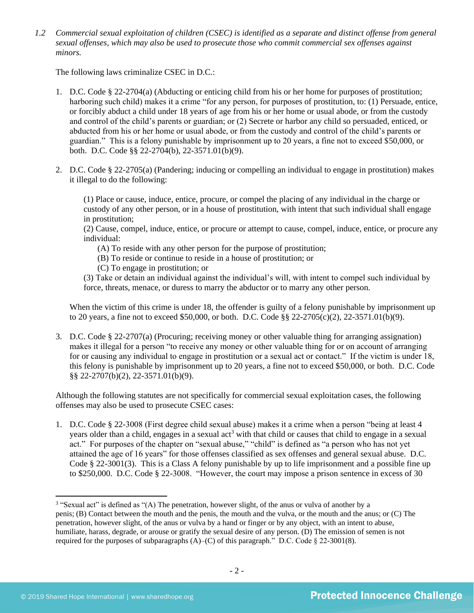*1.2 Commercial sexual exploitation of children (CSEC) is identified as a separate and distinct offense from general sexual offenses, which may also be used to prosecute those who commit commercial sex offenses against minors.*

The following laws criminalize CSEC in D.C.:

- 1. D.C. Code § 22-2704(a) (Abducting or enticing child from his or her home for purposes of prostitution; harboring such child) makes it a crime "for any person, for purposes of prostitution, to: (1) Persuade, entice, or forcibly abduct a child under 18 years of age from his or her home or usual abode, or from the custody and control of the child's parents or guardian; or (2) Secrete or harbor any child so persuaded, enticed, or abducted from his or her home or usual abode, or from the custody and control of the child's parents or guardian." This is a felony punishable by imprisonment up to 20 years, a fine not to exceed \$50,000, or both. D.C. Code §§ 22-2704(b), 22-3571.01(b)(9).
- 2. D.C. Code § 22-2705(a) (Pandering; inducing or compelling an individual to engage in prostitution) makes it illegal to do the following:

(1) Place or cause, induce, entice, procure, or compel the placing of any individual in the charge or custody of any other person, or in a house of prostitution, with intent that such individual shall engage in prostitution;

(2) Cause, compel, induce, entice, or procure or attempt to cause, compel, induce, entice, or procure any individual:

- (A) To reside with any other person for the purpose of prostitution;
- (B) To reside or continue to reside in a house of prostitution; or
- (C) To engage in prostitution; or

(3) Take or detain an individual against the individual's will, with intent to compel such individual by force, threats, menace, or duress to marry the abductor or to marry any other person.

When the victim of this crime is under 18, the offender is guilty of a felony punishable by imprisonment up to 20 years, a fine not to exceed \$50,000, or both. D.C. Code  $\S$  22-2705(c)(2), 22-3571.01(b)(9).

3. D.C. Code § 22-2707(a) (Procuring; receiving money or other valuable thing for arranging assignation) makes it illegal for a person "to receive any money or other valuable thing for or on account of arranging for or causing any individual to engage in prostitution or a sexual act or contact." If the victim is under 18, this felony is punishable by imprisonment up to 20 years, a fine not to exceed \$50,000, or both. D.C. Code §§ 22-2707(b)(2), 22-3571.01(b)(9).

Although the following statutes are not specifically for commercial sexual exploitation cases, the following offenses may also be used to prosecute CSEC cases:

1. D.C. Code § 22-3008 (First degree child sexual abuse) makes it a crime when a person "being at least 4 years older than a child, engages in a sexual act<sup>3</sup> with that child or causes that child to engage in a sexual act." For purposes of the chapter on "sexual abuse," "child" is defined as "a person who has not yet attained the age of 16 years" for those offenses classified as sex offenses and general sexual abuse. D.C. Code § 22-3001(3). This is a Class A felony punishable by up to life imprisonment and a possible fine up to \$250,000. D.C. Code § 22-3008. "However, the court may impose a prison sentence in excess of 30

<sup>&</sup>lt;sup>3</sup> "Sexual act" is defined as "(A) The penetration, however slight, of the anus or vulva of another by a penis; (B) Contact between the mouth and the penis, the mouth and the vulva, or the mouth and the anus; or (C) The penetration, however slight, of the anus or vulva by a hand or finger or by any object, with an intent to abuse, humiliate, harass, degrade, or arouse or gratify the sexual desire of any person. (D) The emission of semen is not required for the purposes of subparagraphs  $(A)$ – $(C)$  of this paragraph." D.C. Code § 22-3001(8).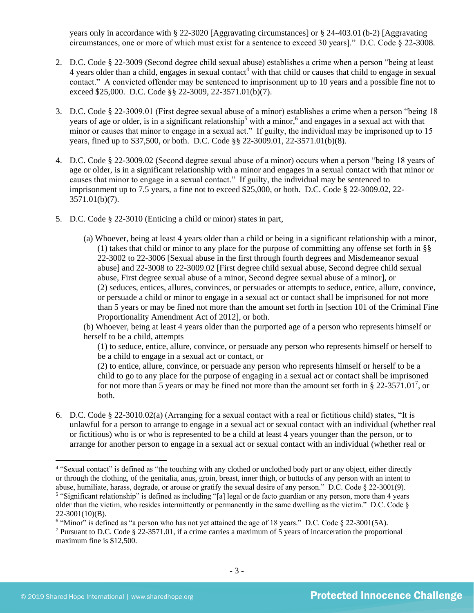years only in accordance with § 22-3020 [Aggravating circumstances] or § 24-403.01 (b-2) [Aggravating circumstances, one or more of which must exist for a sentence to exceed 30 years]." D.C. Code § 22-3008.

- 2. D.C. Code § 22-3009 (Second degree child sexual abuse) establishes a crime when a person "being at least 4 years older than a child, engages in sexual contact<sup>4</sup> with that child or causes that child to engage in sexual contact." A convicted offender may be sentenced to imprisonment up to 10 years and a possible fine not to exceed \$25,000. D.C. Code §§ 22-3009, 22-3571.01(b)(7).
- 3. D.C. Code § 22-3009.01 (First degree sexual abuse of a minor) establishes a crime when a person "being 18 years of age or older, is in a significant relationship<sup>5</sup> with a minor,<sup>6</sup> and engages in a sexual act with that minor or causes that minor to engage in a sexual act." If guilty, the individual may be imprisoned up to 15 years, fined up to \$37,500, or both. D.C. Code §§ 22-3009.01, 22-3571.01(b)(8).
- 4. D.C. Code § 22-3009.02 (Second degree sexual abuse of a minor) occurs when a person "being 18 years of age or older, is in a significant relationship with a minor and engages in a sexual contact with that minor or causes that minor to engage in a sexual contact." If guilty, the individual may be sentenced to imprisonment up to 7.5 years, a fine not to exceed \$25,000, or both. D.C. Code § 22-3009.02, 22- 3571.01(b)(7).
- 5. D.C. Code § 22-3010 (Enticing a child or minor) states in part,
	- (a) Whoever, being at least 4 years older than a child or being in a significant relationship with a minor, (1) takes that child or minor to any place for the purpose of committing any offense set forth in §§ 22-3002 to 22-3006 [Sexual abuse in the first through fourth degrees and Misdemeanor sexual abuse] and 22-3008 to 22-3009.02 [First degree child sexual abuse, Second degree child sexual abuse, First degree sexual abuse of a minor, Second degree sexual abuse of a minor], or (2) seduces, entices, allures, convinces, or persuades or attempts to seduce, entice, allure, convince, or persuade a child or minor to engage in a sexual act or contact shall be imprisoned for not more than 5 years or may be fined not more than the amount set forth in [section 101 of the Criminal Fine Proportionality Amendment Act of 2012], or both.

(b) Whoever, being at least 4 years older than the purported age of a person who represents himself or herself to be a child, attempts

(1) to seduce, entice, allure, convince, or persuade any person who represents himself or herself to be a child to engage in a sexual act or contact, or

(2) to entice, allure, convince, or persuade any person who represents himself or herself to be a child to go to any place for the purpose of engaging in a sexual act or contact shall be imprisoned for not more than 5 years or may be fined not more than the amount set forth in  $\S 22-3571.01^7$ , or both.

6. D.C. Code § 22-3010.02(a) (Arranging for a sexual contact with a real or fictitious child) states, "It is unlawful for a person to arrange to engage in a sexual act or sexual contact with an individual (whether real or fictitious) who is or who is represented to be a child at least 4 years younger than the person, or to arrange for another person to engage in a sexual act or sexual contact with an individual (whether real or

<sup>5</sup> "Significant relationship" is defined as including "[a] legal or de facto guardian or any person, more than 4 years older than the victim, who resides intermittently or permanently in the same dwelling as the victim." D.C. Code  $\S$  $22-3001(10)(B)$ .

<sup>6</sup> "Minor" is defined as "a person who has not yet attained the age of 18 years." D.C. Code § 22-3001(5A).

<sup>&</sup>lt;sup>4</sup> "Sexual contact" is defined as "the touching with any clothed or unclothed body part or any object, either directly or through the clothing, of the genitalia, anus, groin, breast, inner thigh, or buttocks of any person with an intent to abuse, humiliate, harass, degrade, or arouse or gratify the sexual desire of any person." D.C. Code  $\S$  22-3001(9).

<sup>7</sup> Pursuant to D.C. Code § 22-3571.01, if a crime carries a maximum of 5 years of incarceration the proportional maximum fine is \$12,500.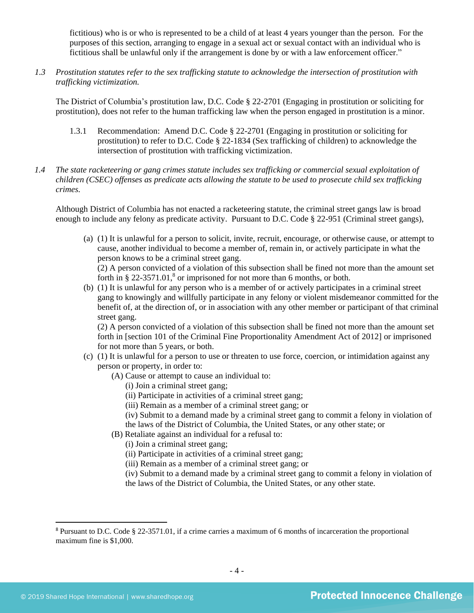fictitious) who is or who is represented to be a child of at least 4 years younger than the person. For the purposes of this section, arranging to engage in a sexual act or sexual contact with an individual who is fictitious shall be unlawful only if the arrangement is done by or with a law enforcement officer."

*1.3 Prostitution statutes refer to the sex trafficking statute to acknowledge the intersection of prostitution with trafficking victimization.*

The District of Columbia's prostitution law, D.C. Code § 22-2701 (Engaging in prostitution or soliciting for prostitution), does not refer to the human trafficking law when the person engaged in prostitution is a minor.

- 1.3.1 Recommendation: Amend D.C. Code § 22-2701 (Engaging in prostitution or soliciting for prostitution) to refer to D.C. Code § 22-1834 (Sex trafficking of children) to acknowledge the intersection of prostitution with trafficking victimization.
- *1.4 The state racketeering or gang crimes statute includes sex trafficking or commercial sexual exploitation of children (CSEC) offenses as predicate acts allowing the statute to be used to prosecute child sex trafficking crimes.*

Although District of Columbia has not enacted a racketeering statute, the criminal street gangs law is broad enough to include any felony as predicate activity. Pursuant to D.C. Code § 22-951 (Criminal street gangs),

- (a) (1) It is unlawful for a person to solicit, invite, recruit, encourage, or otherwise cause, or attempt to cause, another individual to become a member of, remain in, or actively participate in what the person knows to be a criminal street gang. (2) A person convicted of a violation of this subsection shall be fined not more than the amount set forth in  $\S 22-3571.01$ ,<sup>8</sup> or imprisoned for not more than 6 months, or both.
- <span id="page-3-0"></span>(b) (1) It is unlawful for any person who is a member of or actively participates in a criminal street gang to knowingly and willfully participate in any felony or violent misdemeanor committed for the benefit of, at the direction of, or in association with any other member or participant of that criminal street gang.

(2) A person convicted of a violation of this subsection shall be fined not more than the amount set forth in [section 101 of the Criminal Fine Proportionality Amendment Act of 2012] or imprisoned for not more than 5 years, or both.

- (c) (1) It is unlawful for a person to use or threaten to use force, coercion, or intimidation against any person or property, in order to:
	- (A) Cause or attempt to cause an individual to:
		- (i) Join a criminal street gang;
		- (ii) Participate in activities of a criminal street gang;
		- (iii) Remain as a member of a criminal street gang; or
		- (iv) Submit to a demand made by a criminal street gang to commit a felony in violation of the laws of the District of Columbia, the United States, or any other state; or
	- (B) Retaliate against an individual for a refusal to:
		- (i) Join a criminal street gang;
		- (ii) Participate in activities of a criminal street gang;
		- (iii) Remain as a member of a criminal street gang; or
		- (iv) Submit to a demand made by a criminal street gang to commit a felony in violation of the laws of the District of Columbia, the United States, or any other state.

<sup>8</sup> Pursuant to D.C. Code § 22-3571.01, if a crime carries a maximum of 6 months of incarceration the proportional maximum fine is \$1,000.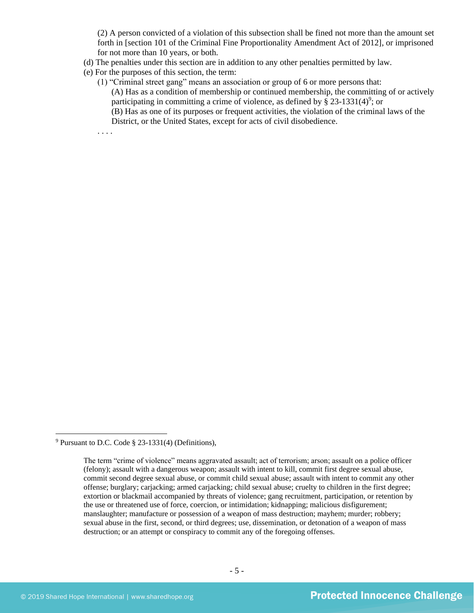(2) A person convicted of a violation of this subsection shall be fined not more than the amount set forth in [section 101 of the Criminal Fine Proportionality Amendment Act of 2012], or imprisoned for not more than 10 years, or both.

- (d) The penalties under this section are in addition to any other penalties permitted by law.
- (e) For the purposes of this section, the term:
	- (1) "Criminal street gang" means an association or group of 6 or more persons that: (A) Has as a condition of membership or continued membership, the committing of or actively participating in committing a crime of violence, as defined by  $\S$  23-1331(4)<sup>9</sup>; or (B) Has as one of its purposes or frequent activities, the violation of the criminal laws of the District, or the United States, except for acts of civil disobedience.

. . . .

<sup>9</sup> Pursuant to D.C. Code § 23-1331(4) (Definitions),

The term "crime of violence" means aggravated assault; act of terrorism; arson; assault on a police officer (felony); assault with a dangerous weapon; assault with intent to kill, commit first degree sexual abuse, commit second degree sexual abuse, or commit child sexual abuse; assault with intent to commit any other offense; burglary; carjacking; armed carjacking; child sexual abuse; cruelty to children in the first degree; extortion or blackmail accompanied by threats of violence; gang recruitment, participation, or retention by the use or threatened use of force, coercion, or intimidation; kidnapping; malicious disfigurement; manslaughter; manufacture or possession of a weapon of mass destruction; mayhem; murder; robbery; sexual abuse in the first, second, or third degrees; use, dissemination, or detonation of a weapon of mass destruction; or an attempt or conspiracy to commit any of the foregoing offenses.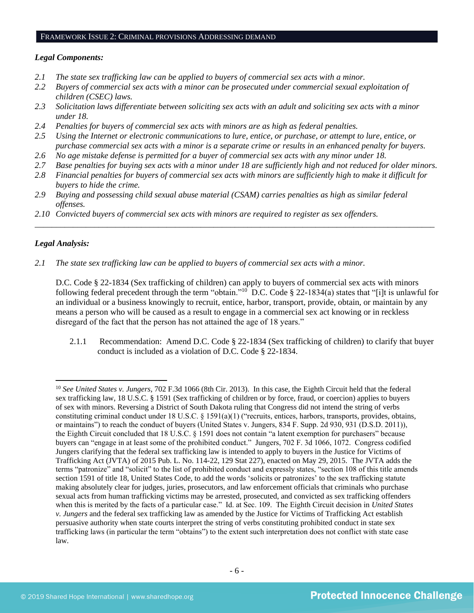## FRAMEWORK ISSUE 2: CRIMINAL PROVISIONS ADDRESSING DEMAND

#### *Legal Components:*

- *2.1 The state sex trafficking law can be applied to buyers of commercial sex acts with a minor.*
- *2.2 Buyers of commercial sex acts with a minor can be prosecuted under commercial sexual exploitation of children (CSEC) laws.*
- *2.3 Solicitation laws differentiate between soliciting sex acts with an adult and soliciting sex acts with a minor under 18.*
- *2.4 Penalties for buyers of commercial sex acts with minors are as high as federal penalties.*
- *2.5 Using the Internet or electronic communications to lure, entice, or purchase, or attempt to lure, entice, or purchase commercial sex acts with a minor is a separate crime or results in an enhanced penalty for buyers.*
- *2.6 No age mistake defense is permitted for a buyer of commercial sex acts with any minor under 18.*
- *2.7 Base penalties for buying sex acts with a minor under 18 are sufficiently high and not reduced for older minors.*
- *2.8 Financial penalties for buyers of commercial sex acts with minors are sufficiently high to make it difficult for buyers to hide the crime.*

\_\_\_\_\_\_\_\_\_\_\_\_\_\_\_\_\_\_\_\_\_\_\_\_\_\_\_\_\_\_\_\_\_\_\_\_\_\_\_\_\_\_\_\_\_\_\_\_\_\_\_\_\_\_\_\_\_\_\_\_\_\_\_\_\_\_\_\_\_\_\_\_\_\_\_\_\_\_\_\_\_\_\_\_\_\_\_\_\_\_\_\_\_\_

- *2.9 Buying and possessing child sexual abuse material (CSAM) carries penalties as high as similar federal offenses.*
- *2.10 Convicted buyers of commercial sex acts with minors are required to register as sex offenders.*

## *Legal Analysis:*

*2.1 The state sex trafficking law can be applied to buyers of commercial sex acts with a minor.* 

D.C. Code § 22-1834 (Sex trafficking of children) can apply to buyers of commercial sex acts with minors following federal precedent through the term "obtain."<sup>10</sup> D.C. Code § 22-1834(a) states that "[i]t is unlawful for an individual or a business knowingly to recruit, entice, harbor, transport, provide, obtain, or maintain by any means a person who will be caused as a result to engage in a commercial sex act knowing or in reckless disregard of the fact that the person has not attained the age of 18 years."

2.1.1 Recommendation: Amend D.C. Code § 22-1834 (Sex trafficking of children) to clarify that buyer conduct is included as a violation of D.C. Code § 22-1834.

<sup>10</sup> *See United States v. Jungers*, 702 F.3d 1066 (8th Cir. 2013). In this case, the Eighth Circuit held that the federal sex trafficking law, 18 U.S.C. § 1591 (Sex trafficking of children or by force, fraud, or coercion) applies to buyers of sex with minors. Reversing a District of South Dakota ruling that Congress did not intend the string of verbs constituting criminal conduct under 18 U.S.C. § 1591(a)(1) ("recruits, entices, harbors, transports, provides, obtains, or maintains") to reach the conduct of buyers (United States v. Jungers, 834 F. Supp. 2d 930, 931 (D.S.D. 2011)), the Eighth Circuit concluded that 18 U.S.C. § 1591 does not contain "a latent exemption for purchasers" because buyers can "engage in at least some of the prohibited conduct." Jungers, 702 F. 3d 1066, 1072. Congress codified Jungers clarifying that the federal sex trafficking law is intended to apply to buyers in the Justice for Victims of Trafficking Act (JVTA) of 2015 Pub. L. No. 114-22, 129 Stat 227), enacted on May 29, 2015. The JVTA adds the terms "patronize" and "solicit" to the list of prohibited conduct and expressly states, "section 108 of this title amends section 1591 of title 18, United States Code, to add the words 'solicits or patronizes' to the sex trafficking statute making absolutely clear for judges, juries, prosecutors, and law enforcement officials that criminals who purchase sexual acts from human trafficking victims may be arrested, prosecuted, and convicted as sex trafficking offenders when this is merited by the facts of a particular case." Id. at Sec. 109. The Eighth Circuit decision in *United States v. Jungers* and the federal sex trafficking law as amended by the Justice for Victims of Trafficking Act establish persuasive authority when state courts interpret the string of verbs constituting prohibited conduct in state sex trafficking laws (in particular the term "obtains") to the extent such interpretation does not conflict with state case law.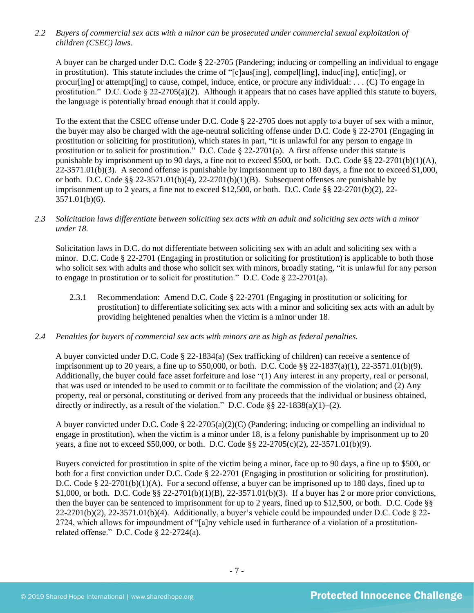*2.2 Buyers of commercial sex acts with a minor can be prosecuted under commercial sexual exploitation of children (CSEC) laws.*

A buyer can be charged under D.C. Code § 22-2705 (Pandering; inducing or compelling an individual to engage in prostitution). This statute includes the crime of "[c]aus[ing], compel[ling], induc[ing], entic[ing], or procur[ing] or attempt[ing] to cause, compel, induce, entice, or procure any individual: . . . (C) To engage in prostitution." D.C. Code  $\S 22-2705(a)(2)$ . Although it appears that no cases have applied this statute to buyers, the language is potentially broad enough that it could apply.

To the extent that the CSEC offense under D.C. Code § 22-2705 does not apply to a buyer of sex with a minor, the buyer may also be charged with the age-neutral soliciting offense under D.C. Code § 22-2701 (Engaging in prostitution or soliciting for prostitution), which states in part, "it is unlawful for any person to engage in prostitution or to solicit for prostitution." D.C. Code § 22-2701(a). A first offense under this statute is punishable by imprisonment up to 90 days, a fine not to exceed \$500, or both. D.C. Code §§ 22-2701(b)(1)(A), 22-3571.01(b)(3). A second offense is punishable by imprisonment up to 180 days, a fine not to exceed \$1,000, or both. D.C. Code §§ 22-3571.01(b)(4), 22-2701(b)(1)(B). Subsequent offenses are punishable by imprisonment up to 2 years, a fine not to exceed \$12,500, or both. D.C. Code §§ 22-2701(b)(2), 22- 3571.01(b)(6).

*2.3 Solicitation laws differentiate between soliciting sex acts with an adult and soliciting sex acts with a minor under 18.*

Solicitation laws in D.C. do not differentiate between soliciting sex with an adult and soliciting sex with a minor. D.C. Code § 22-2701 (Engaging in prostitution or soliciting for prostitution) is applicable to both those who solicit sex with adults and those who solicit sex with minors, broadly stating, "it is unlawful for any person to engage in prostitution or to solicit for prostitution." D.C. Code  $\S$  22-2701(a).

- 2.3.1 Recommendation: Amend D.C. Code § 22-2701 (Engaging in prostitution or soliciting for prostitution) to differentiate soliciting sex acts with a minor and soliciting sex acts with an adult by providing heightened penalties when the victim is a minor under 18.
- *2.4 Penalties for buyers of commercial sex acts with minors are as high as federal penalties.*

A buyer convicted under D.C. Code § 22-1834(a) (Sex trafficking of children) can receive a sentence of imprisonment up to 20 years, a fine up to \$50,000, or both. D.C. Code §§ 22-1837(a)(1), 22-3571.01(b)(9). Additionally, the buyer could face asset forfeiture and lose "(1) Any interest in any property, real or personal, that was used or intended to be used to commit or to facilitate the commission of the violation; and (2) Any property, real or personal, constituting or derived from any proceeds that the individual or business obtained, directly or indirectly, as a result of the violation." D.C. Code  $\S$ § 22-1838(a)(1)–(2).

A buyer convicted under D.C. Code § 22-2705(a)(2)(C) (Pandering; inducing or compelling an individual to engage in prostitution), when the victim is a minor under 18, is a felony punishable by imprisonment up to 20 years, a fine not to exceed \$50,000, or both. D.C. Code §§ 22-2705(c)(2), 22-3571.01(b)(9).

Buyers convicted for prostitution in spite of the victim being a minor, face up to 90 days, a fine up to \$500, or both for a first conviction under D.C. Code § 22-2701 (Engaging in prostitution or soliciting for prostitution). D.C. Code § 22-2701(b)(1)(A). For a second offense, a buyer can be imprisoned up to 180 days, fined up to \$1,000, or both. D.C. Code §§ 22-2701(b)(1)(B), 22-3571.01(b)(3). If a buyer has 2 or more prior convictions, then the buyer can be sentenced to imprisonment for up to 2 years, fined up to \$12,500, or both. D.C. Code §§  $22-2701(b)(2)$ ,  $22-3571.01(b)(4)$ . Additionally, a buyer's vehicle could be impounded under D.C. Code § 22-2724, which allows for impoundment of "[a]ny vehicle used in furtherance of a violation of a prostitutionrelated offense." D.C. Code § 22-2724(a).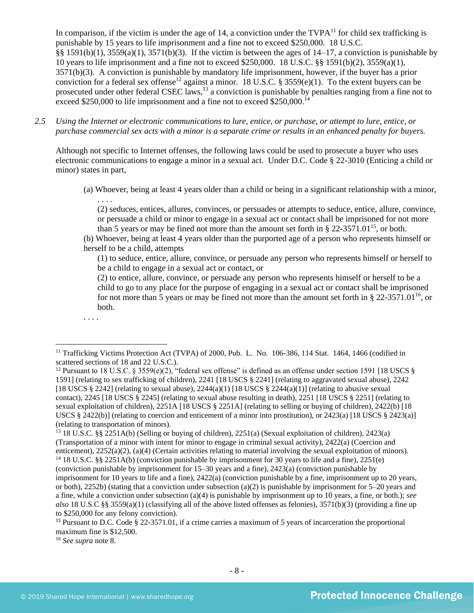<span id="page-7-1"></span><span id="page-7-0"></span>In comparison, if the victim is under the age of 14, a conviction under the  $TVPA<sup>11</sup>$  for child sex trafficking is punishable by 15 years to life imprisonment and a fine not to exceed \$250,000. 18 U.S.C. §§ 1591(b)(1),  $3559(a)(1)$ ,  $3571(b)(3)$ . If the victim is between the ages of 14–17, a conviction is punishable by 10 years to life imprisonment and a fine not to exceed \$250,000. 18 U.S.C. §§ 1591(b)(2), 3559(a)(1), 3571(b)(3). A conviction is punishable by mandatory life imprisonment, however, if the buyer has a prior conviction for a federal sex offense<sup>12</sup> against a minor. 18 U.S.C. § 3559(e)(1). To the extent buyers can be prosecuted under other federal CSEC laws,<sup>13</sup> a conviction is punishable by penalties ranging from a fine not to exceed \$250,000 to life imprisonment and a fine not to exceed \$250,000.<sup>14</sup>

*2.5 Using the Internet or electronic communications to lure, entice, or purchase, or attempt to lure, entice, or purchase commercial sex acts with a minor is a separate crime or results in an enhanced penalty for buyers.*

Although not specific to Internet offenses, the following laws could be used to prosecute a buyer who uses electronic communications to engage a minor in a sexual act. Under D.C. Code § 22-3010 (Enticing a child or minor) states in part,

(a) Whoever, being at least 4 years older than a child or being in a significant relationship with a minor, . . . .

(2) seduces, entices, allures, convinces, or persuades or attempts to seduce, entice, allure, convince, or persuade a child or minor to engage in a sexual act or contact shall be imprisoned for not more than 5 years or may be fined not more than the amount set forth in § 22-3571.01<sup>15</sup>, or both.

(b) Whoever, being at least 4 years older than the purported age of a person who represents himself or herself to be a child, attempts

(1) to seduce, entice, allure, convince, or persuade any person who represents himself or herself to be a child to engage in a sexual act or contact, or

(2) to entice, allure, convince, or persuade any person who represents himself or herself to be a child to go to any place for the purpose of engaging in a sexual act or contact shall be imprisoned for not more than 5 years or may be fined not more than the amount set forth in § 22-3571.01<sup>16</sup>, or both.

. . . .

<sup>13</sup> 18 U.S.C. §§ 2251A(b) (Selling or buying of children), 2251(a) (Sexual exploitation of children), 2423(a) (Transportation of a minor with intent for minor to engage in criminal sexual activity), 2422(a) (Coercion and enticement), 2252(a)(2), (a)(4) (Certain activities relating to material involving the sexual exploitation of minors). <sup>14</sup> 18 U.S.C. §§ 2251A(b) (conviction punishable by imprisonment for 30 years to life and a fine), 2251(e)

<sup>16</sup> *See supra* note [8.](#page-3-0)

<sup>&</sup>lt;sup>11</sup> Trafficking Victims Protection Act (TVPA) of 2000, Pub. L. No. 106-386, 114 Stat. 1464, 1466 (codified in scattered sections of 18 and 22 U.S.C.).

<sup>&</sup>lt;sup>12</sup> Pursuant to 18 U.S.C. § 3559(e)(2), "federal sex offense" is defined as an offense under section 1591 [18 USCS § 1591] (relating to sex trafficking of children), 2241 [18 USCS § 2241] (relating to aggravated sexual abuse), 2242 [18 USCS § 2242] (relating to sexual abuse),  $2244(a)(1)$  [18 USCS § 2244(a)(1)] (relating to abusive sexual contact), 2245 [18 USCS § 2245] (relating to sexual abuse resulting in death), 2251 [18 USCS § 2251] (relating to sexual exploitation of children), 2251A [18 USCS § 2251A] (relating to selling or buying of children), 2422(b) [18 USCS § 2422(b)] (relating to coercion and enticement of a minor into prostitution), or 2423(a) [18 USCS § 2423(a)] (relating to transportation of minors).

<sup>(</sup>conviction punishable by imprisonment for 15–30 years and a fine), 2423(a) (conviction punishable by imprisonment for 10 years to life and a fine), 2422(a) (conviction punishable by a fine, imprisonment up to 20 years, or both),  $2252b$ ) (stating that a conviction under subsection (a)(2) is punishable by imprisonment for 5–20 years and a fine, while a conviction under subsection (a)(4) is punishable by imprisonment up to 10 years, a fine, or both.); *see also* 18 U.S.C §§ 3559(a)(1) (classifying all of the above listed offenses as felonies), 3571(b)(3) (providing a fine up to \$250,000 for any felony conviction).

<sup>15</sup> Pursuant to D.C. Code § 22-3571.01, if a crime carries a maximum of 5 years of incarceration the proportional maximum fine is \$12,500.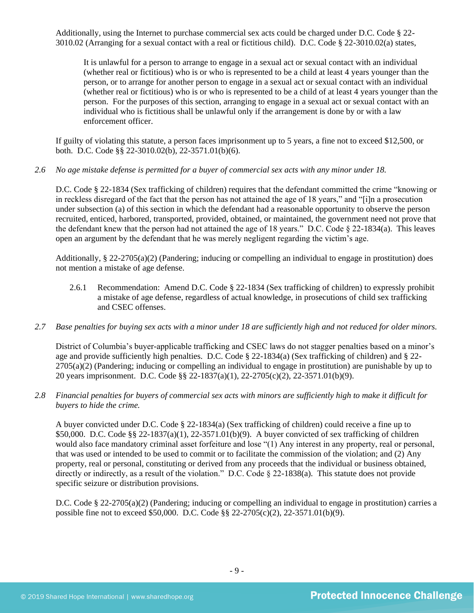Additionally, using the Internet to purchase commercial sex acts could be charged under D.C. Code § 22- 3010.02 (Arranging for a sexual contact with a real or fictitious child). D.C. Code § 22-3010.02(a) states,

It is unlawful for a person to arrange to engage in a sexual act or sexual contact with an individual (whether real or fictitious) who is or who is represented to be a child at least 4 years younger than the person, or to arrange for another person to engage in a sexual act or sexual contact with an individual (whether real or fictitious) who is or who is represented to be a child of at least 4 years younger than the person. For the purposes of this section, arranging to engage in a sexual act or sexual contact with an individual who is fictitious shall be unlawful only if the arrangement is done by or with a law enforcement officer.

If guilty of violating this statute, a person faces imprisonment up to 5 years, a fine not to exceed \$12,500, or both. D.C. Code §§ 22-3010.02(b), 22-3571.01(b)(6).

*2.6 No age mistake defense is permitted for a buyer of commercial sex acts with any minor under 18.*

D.C. Code § 22-1834 (Sex trafficking of children) requires that the defendant committed the crime "knowing or in reckless disregard of the fact that the person has not attained the age of 18 years," and "[i]n a prosecution under subsection (a) of this section in which the defendant had a reasonable opportunity to observe the person recruited, enticed, harbored, transported, provided, obtained, or maintained, the government need not prove that the defendant knew that the person had not attained the age of 18 years." D.C. Code § 22-1834(a). This leaves open an argument by the defendant that he was merely negligent regarding the victim's age.

Additionally, § 22-2705(a)(2) (Pandering; inducing or compelling an individual to engage in prostitution) does not mention a mistake of age defense.

- 2.6.1 Recommendation: Amend D.C. Code § 22-1834 (Sex trafficking of children) to expressly prohibit a mistake of age defense, regardless of actual knowledge, in prosecutions of child sex trafficking and CSEC offenses.
- *2.7 Base penalties for buying sex acts with a minor under 18 are sufficiently high and not reduced for older minors.*

District of Columbia's buyer-applicable trafficking and CSEC laws do not stagger penalties based on a minor's age and provide sufficiently high penalties. D.C. Code  $\S$  22-1834(a) (Sex trafficking of children) and  $\S$  22- $2705(a)(2)$  (Pandering; inducing or compelling an individual to engage in prostitution) are punishable by up to 20 years imprisonment. D.C. Code §§ 22-1837(a)(1), 22-2705(c)(2), 22-3571.01(b)(9).

*2.8 Financial penalties for buyers of commercial sex acts with minors are sufficiently high to make it difficult for buyers to hide the crime.*

A buyer convicted under D.C. Code § 22-1834(a) (Sex trafficking of children) could receive a fine up to \$50,000. D.C. Code §§ 22-1837(a)(1), 22-3571.01(b)(9). A buyer convicted of sex trafficking of children would also face mandatory criminal asset forfeiture and lose "(1) Any interest in any property, real or personal, that was used or intended to be used to commit or to facilitate the commission of the violation; and (2) Any property, real or personal, constituting or derived from any proceeds that the individual or business obtained, directly or indirectly, as a result of the violation." D.C. Code § 22-1838(a). This statute does not provide specific seizure or distribution provisions.

D.C. Code § 22-2705(a)(2) (Pandering; inducing or compelling an individual to engage in prostitution) carries a possible fine not to exceed \$50,000. D.C. Code §§ 22-2705(c)(2), 22-3571.01(b)(9).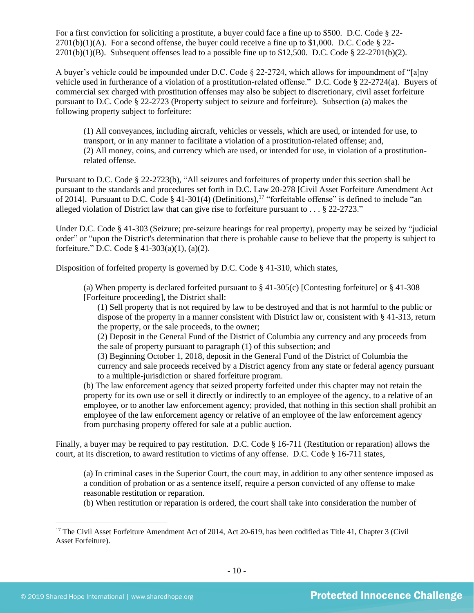For a first conviction for soliciting a prostitute, a buyer could face a fine up to \$500. D.C. Code § 22-  $2701(b)(1)(A)$ . For a second offense, the buyer could receive a fine up to \$1,000. D.C. Code § 22- $2701(b)(1)(B)$ . Subsequent offenses lead to a possible fine up to \$12,500. D.C. Code § 22-2701(b)(2).

A buyer's vehicle could be impounded under D.C. Code § 22-2724, which allows for impoundment of "[a]ny vehicle used in furtherance of a violation of a prostitution-related offense." D.C. Code § 22-2724(a). Buyers of commercial sex charged with prostitution offenses may also be subject to discretionary, civil asset forfeiture pursuant to D.C. Code § 22-2723 (Property subject to seizure and forfeiture). Subsection (a) makes the following property subject to forfeiture:

(1) All conveyances, including aircraft, vehicles or vessels, which are used, or intended for use, to transport, or in any manner to facilitate a violation of a prostitution-related offense; and, (2) All money, coins, and currency which are used, or intended for use, in violation of a prostitutionrelated offense.

Pursuant to D.C. Code § 22-2723(b), "All seizures and forfeitures of property under this section shall be pursuant to the standards and procedures set forth in D.C. Law 20-278 [Civil Asset Forfeiture Amendment Act of 2014]. Pursuant to D.C. Code  $\S$  41-301(4) (Definitions),<sup>17</sup> "forfeitable offense" is defined to include "an alleged violation of District law that can give rise to forfeiture pursuant to . . . § 22-2723."

Under D.C. Code § 41-303 (Seizure; pre-seizure hearings for real property), property may be seized by "judicial order" or "upon the District's determination that there is probable cause to believe that the property is subject to forfeiture." D.C. Code § 41-303(a)(1), (a)(2).

Disposition of forfeited property is governed by D.C. Code § 41-310, which states,

(a) When property is declared forfeited pursuant to § 41-305(c) [Contesting forfeiture] or § 41-308 [Forfeiture proceeding], the District shall:

(1) Sell property that is not required by law to be destroyed and that is not harmful to the public or dispose of the property in a manner consistent with District law or, consistent with § 41-313, return the property, or the sale proceeds, to the owner;

(2) Deposit in the General Fund of the District of Columbia any currency and any proceeds from the sale of property pursuant to paragraph (1) of this subsection; and

(3) Beginning October 1, 2018, deposit in the General Fund of the District of Columbia the currency and sale proceeds received by a District agency from any state or federal agency pursuant to a multiple-jurisdiction or shared forfeiture program.

(b) The law enforcement agency that seized property forfeited under this chapter may not retain the property for its own use or sell it directly or indirectly to an employee of the agency, to a relative of an employee, or to another law enforcement agency; provided, that nothing in this section shall prohibit an employee of the law enforcement agency or relative of an employee of the law enforcement agency from purchasing property offered for sale at a public auction.

Finally, a buyer may be required to pay restitution. D.C. Code § 16-711 (Restitution or reparation) allows the court, at its discretion, to award restitution to victims of any offense. D.C. Code § 16-711 states,

(a) In criminal cases in the Superior Court, the court may, in addition to any other sentence imposed as a condition of probation or as a sentence itself, require a person convicted of any offense to make reasonable restitution or reparation.

(b) When restitution or reparation is ordered, the court shall take into consideration the number of

<sup>&</sup>lt;sup>17</sup> The Civil Asset Forfeiture Amendment Act of 2014, Act 20-619, has been codified as Title 41, Chapter 3 (Civil Asset Forfeiture).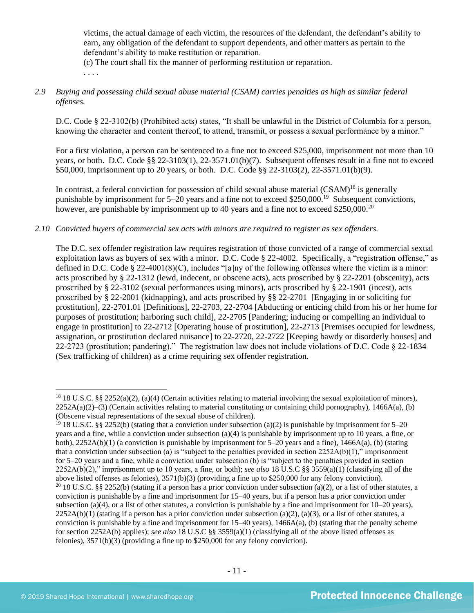victims, the actual damage of each victim, the resources of the defendant, the defendant's ability to earn, any obligation of the defendant to support dependents, and other matters as pertain to the defendant's ability to make restitution or reparation.

(c) The court shall fix the manner of performing restitution or reparation.

. . . .

## *2.9 Buying and possessing child sexual abuse material (CSAM) carries penalties as high as similar federal offenses.*

D.C. Code § 22-3102(b) (Prohibited acts) states, "It shall be unlawful in the District of Columbia for a person, knowing the character and content thereof, to attend, transmit, or possess a sexual performance by a minor."

For a first violation, a person can be sentenced to a fine not to exceed \$25,000, imprisonment not more than 10 years, or both. D.C. Code §§ 22-3103(1), 22-3571.01(b)(7). Subsequent offenses result in a fine not to exceed \$50,000, imprisonment up to 20 years, or both. D.C. Code §§ 22-3103(2), 22-3571.01(b)(9).

In contrast, a federal conviction for possession of child sexual abuse material  $(CSAM)^{18}$  is generally punishable by imprisonment for  $5-20$  years and a fine not to exceed \$250,000.<sup>19</sup> Subsequent convictions, however, are punishable by imprisonment up to 40 years and a fine not to exceed \$250,000.<sup>20</sup>

## *2.10 Convicted buyers of commercial sex acts with minors are required to register as sex offenders.*

The D.C. sex offender registration law requires registration of those convicted of a range of commercial sexual exploitation laws as buyers of sex with a minor. D.C. Code § 22-4002. Specifically, a "registration offense," as defined in D.C. Code § 22-4001(8)(C), includes "[a]ny of the following offenses where the victim is a minor: acts proscribed by § 22-1312 (lewd, indecent, or obscene acts), acts proscribed by § 22-2201 (obscenity), acts proscribed by § 22-3102 (sexual performances using minors), acts proscribed by § 22-1901 (incest), acts proscribed by § 22-2001 (kidnapping), and acts proscribed by §§ 22-2701 [Engaging in or soliciting for prostitution], 22-2701.01 [Definitions], 22-2703, 22-2704 [Abducting or enticing child from his or her home for purposes of prostitution; harboring such child], 22-2705 [Pandering; inducing or compelling an individual to engage in prostitution] to 22-2712 [Operating house of prostitution], 22-2713 [Premises occupied for lewdness, assignation, or prostitution declared nuisance] to 22-2720, 22-2722 [Keeping bawdy or disorderly houses] and 22-2723 (prostitution; pandering)." The registration law does not include violations of D.C. Code § 22-1834 (Sex trafficking of children) as a crime requiring sex offender registration.

<sup>&</sup>lt;sup>18</sup> 18 U.S.C. §§ 2252(a)(2), (a)(4) (Certain activities relating to material involving the sexual exploitation of minors),  $2252A(a)(2)$ –(3) (Certain activities relating to material constituting or containing child pornography), 1466A(a), (b) (Obscene visual representations of the sexual abuse of children).

<sup>&</sup>lt;sup>19</sup> 18 U.S.C. §§ 2252(b) (stating that a conviction under subsection (a)(2) is punishable by imprisonment for 5–20 years and a fine, while a conviction under subsection (a)(4) is punishable by imprisonment up to 10 years, a fine, or both), 2252A(b)(1) (a conviction is punishable by imprisonment for 5–20 years and a fine), 1466A(a), (b) (stating that a conviction under subsection (a) is "subject to the penalties provided in section  $2252A(b)(1)$ ," imprisonment for 5–20 years and a fine, while a conviction under subsection (b) is "subject to the penalties provided in section 2252A(b)(2)," imprisonment up to 10 years, a fine, or both); *see also* 18 U.S.C §§ 3559(a)(1) (classifying all of the above listed offenses as felonies), 3571(b)(3) (providing a fine up to \$250,000 for any felony conviction). <sup>20</sup> 18 U.S.C. §§ 2252(b) (stating if a person has a prior conviction under subsection (a)(2), or a list of other statutes, a conviction is punishable by a fine and imprisonment for 15–40 years, but if a person has a prior conviction under subsection (a)(4), or a list of other statutes, a conviction is punishable by a fine and imprisonment for  $10-20$  years),  $2252A(b)(1)$  (stating if a person has a prior conviction under subsection (a)(2), (a)(3), or a list of other statutes, a conviction is punishable by a fine and imprisonment for  $15-40$  years),  $1466A(a)$ , (b) (stating that the penalty scheme for section 2252A(b) applies); *see also* 18 U.S.C §§ 3559(a)(1) (classifying all of the above listed offenses as felonies), 3571(b)(3) (providing a fine up to \$250,000 for any felony conviction).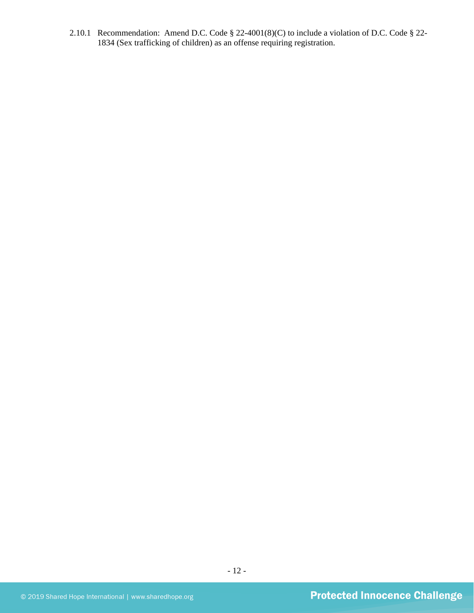2.10.1 Recommendation: Amend D.C. Code § 22-4001(8)(C) to include a violation of D.C. Code § 22- 1834 (Sex trafficking of children) as an offense requiring registration.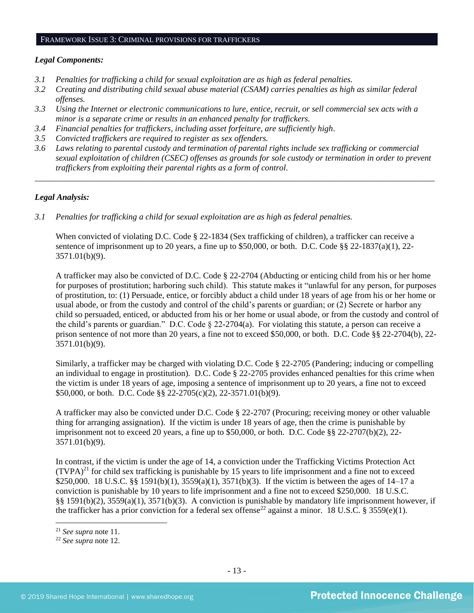#### FRAMEWORK ISSUE 3: CRIMINAL PROVISIONS FOR TRAFFICKERS

#### *Legal Components:*

- *3.1 Penalties for trafficking a child for sexual exploitation are as high as federal penalties.*
- *3.2 Creating and distributing child sexual abuse material (CSAM) carries penalties as high as similar federal offenses.*
- *3.3 Using the Internet or electronic communications to lure, entice, recruit, or sell commercial sex acts with a minor is a separate crime or results in an enhanced penalty for traffickers.*
- *3.4 Financial penalties for traffickers, including asset forfeiture, are sufficiently high*.
- *3.5 Convicted traffickers are required to register as sex offenders.*
- *3.6 Laws relating to parental custody and termination of parental rights include sex trafficking or commercial sexual exploitation of children (CSEC) offenses as grounds for sole custody or termination in order to prevent traffickers from exploiting their parental rights as a form of control.*

*\_\_\_\_\_\_\_\_\_\_\_\_\_\_\_\_\_\_\_\_\_\_\_\_\_\_\_\_\_\_\_\_\_\_\_\_\_\_\_\_\_\_\_\_\_\_\_\_\_\_\_\_\_\_\_\_\_\_\_\_\_\_\_\_\_\_\_\_\_\_\_\_\_\_\_\_\_\_\_\_\_\_\_\_\_\_\_\_\_\_\_\_\_\_*

## *Legal Analysis:*

*3.1 Penalties for trafficking a child for sexual exploitation are as high as federal penalties.*

When convicted of violating D.C. Code § 22-1834 (Sex trafficking of children), a trafficker can receive a sentence of imprisonment up to 20 years, a fine up to \$50,000, or both. D.C. Code  $\S$ § 22-1837(a)(1), 22-3571.01(b)(9).

A trafficker may also be convicted of D.C. Code § 22-2704 (Abducting or enticing child from his or her home for purposes of prostitution; harboring such child). This statute makes it "unlawful for any person, for purposes of prostitution, to: (1) Persuade, entice, or forcibly abduct a child under 18 years of age from his or her home or usual abode, or from the custody and control of the child's parents or guardian; or (2) Secrete or harbor any child so persuaded, enticed, or abducted from his or her home or usual abode, or from the custody and control of the child's parents or guardian." D.C. Code § 22-2704(a). For violating this statute, a person can receive a prison sentence of not more than 20 years, a fine not to exceed \$50,000, or both. D.C. Code §§ 22-2704(b), 22- 3571.01(b)(9).

Similarly, a trafficker may be charged with violating D.C. Code § 22-2705 (Pandering; inducing or compelling an individual to engage in prostitution). D.C. Code § 22-2705 provides enhanced penalties for this crime when the victim is under 18 years of age, imposing a sentence of imprisonment up to 20 years, a fine not to exceed \$50,000, or both. D.C. Code §§ 22-2705(c)(2), 22-3571.01(b)(9).

A trafficker may also be convicted under D.C. Code § 22-2707 (Procuring; receiving money or other valuable thing for arranging assignation). If the victim is under 18 years of age, then the crime is punishable by imprisonment not to exceed 20 years, a fine up to \$50,000, or both. D.C. Code §§ 22-2707(b)(2), 22- 3571.01(b)(9).

In contrast, if the victim is under the age of 14, a conviction under the Trafficking Victims Protection Act  $(TVPA)^{21}$  for child sex trafficking is punishable by 15 years to life imprisonment and a fine not to exceed \$250,000. 18 U.S.C. §§ 1591(b)(1), 3559(a)(1), 3571(b)(3). If the victim is between the ages of 14–17 a conviction is punishable by 10 years to life imprisonment and a fine not to exceed \$250,000. 18 U.S.C. §§ 1591(b)(2), 3559(a)(1), 3571(b)(3). A conviction is punishable by mandatory life imprisonment however, if the trafficker has a prior conviction for a federal sex offense<sup>22</sup> against a minor. 18 U.S.C. § 3559(e)(1).

<sup>21</sup> *See supra* note [11.](#page-7-0) 

<sup>22</sup> *See supra* note [12.](#page-7-1)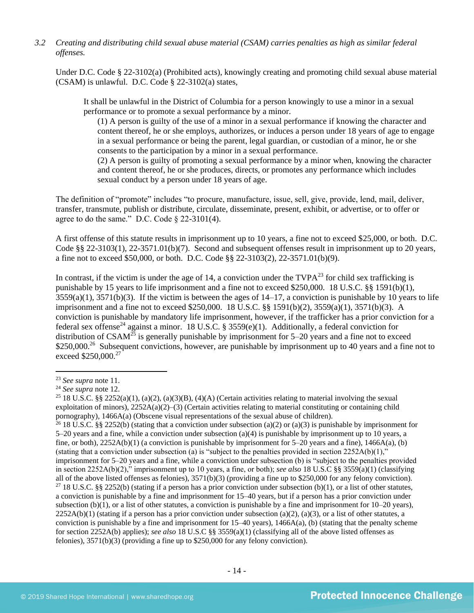## *3.2 Creating and distributing child sexual abuse material (CSAM) carries penalties as high as similar federal offenses.*

Under D.C. Code § 22-3102(a) (Prohibited acts), knowingly creating and promoting child sexual abuse material (CSAM) is unlawful. D.C. Code § 22-3102(a) states,

It shall be unlawful in the District of Columbia for a person knowingly to use a minor in a sexual performance or to promote a sexual performance by a minor.

(1) A person is guilty of the use of a minor in a sexual performance if knowing the character and content thereof, he or she employs, authorizes, or induces a person under 18 years of age to engage in a sexual performance or being the parent, legal guardian, or custodian of a minor, he or she consents to the participation by a minor in a sexual performance.

(2) A person is guilty of promoting a sexual performance by a minor when, knowing the character and content thereof, he or she produces, directs, or promotes any performance which includes sexual conduct by a person under 18 years of age.

The definition of "promote" includes "to procure, manufacture, issue, sell, give, provide, lend, mail, deliver, transfer, transmute, publish or distribute, circulate, disseminate, present, exhibit, or advertise, or to offer or agree to do the same." D.C. Code  $\S$  22-3101(4).

A first offense of this statute results in imprisonment up to 10 years, a fine not to exceed \$25,000, or both. D.C. Code §§ 22-3103(1), 22-3571.01(b)(7). Second and subsequent offenses result in imprisonment up to 20 years, a fine not to exceed \$50,000, or both. D.C. Code §§ 22-3103(2), 22-3571.01(b)(9).

In contrast, if the victim is under the age of 14, a conviction under the  $TVPA^{23}$  for child sex trafficking is punishable by 15 years to life imprisonment and a fine not to exceed \$250,000. 18 U.S.C. §§ 1591(b)(1),  $3559(a)(1)$ ,  $3571(b)(3)$ . If the victim is between the ages of  $14-17$ , a conviction is punishable by 10 years to life imprisonment and a fine not to exceed \$250,000. 18 U.S.C. §§ 1591(b)(2), 3559(a)(1), 3571(b)(3). A conviction is punishable by mandatory life imprisonment, however, if the trafficker has a prior conviction for a federal sex offense<sup>24</sup> against a minor. 18 U.S.C. § 3559(e)(1). Additionally, a federal conviction for distribution of  $CSAM^{25}$  is generally punishable by imprisonment for 5–20 years and a fine not to exceed \$250,000.<sup>26</sup> Subsequent convictions, however, are punishable by imprisonment up to 40 years and a fine not to exceed \$250,000.<sup>27</sup>

<sup>23</sup> *See supra* note [11.](#page-7-0)

<sup>24</sup> *See supra* note [12.](#page-7-1) 

<sup>&</sup>lt;sup>25</sup> 18 U.S.C. §§ 2252(a)(1), (a)(2), (a)(3)(B), (4)(A) (Certain activities relating to material involving the sexual exploitation of minors),  $2252A(a)(2)$ –(3) (Certain activities relating to material constituting or containing child pornography), 1466A(a) (Obscene visual representations of the sexual abuse of children).

<sup>&</sup>lt;sup>26</sup> 18 U.S.C. §§ 2252(b) (stating that a conviction under subsection (a)(2) or (a)(3) is punishable by imprisonment for 5–20 years and a fine, while a conviction under subsection (a)(4) is punishable by imprisonment up to 10 years, a fine, or both), 2252A(b)(1) (a conviction is punishable by imprisonment for 5–20 years and a fine), 1466A(a), (b) (stating that a conviction under subsection (a) is "subject to the penalties provided in section  $2252A(b)(1)$ ," imprisonment for 5–20 years and a fine, while a conviction under subsection (b) is "subject to the penalties provided in section 2252A(b)(2)," imprisonment up to 10 years, a fine, or both); *see also* 18 U.S.C §§ 3559(a)(1) (classifying all of the above listed offenses as felonies),  $3571(b)(3)$  (providing a fine up to \$250,000 for any felony conviction). <sup>27</sup> 18 U.S.C. §§ 2252(b) (stating if a person has a prior conviction under subsection (b)(1), or a list of other statutes, a conviction is punishable by a fine and imprisonment for 15–40 years, but if a person has a prior conviction under subsection (b)(1), or a list of other statutes, a conviction is punishable by a fine and imprisonment for  $10-20$  years),  $2252A(b)(1)$  (stating if a person has a prior conviction under subsection (a)(2), (a)(3), or a list of other statutes, a conviction is punishable by a fine and imprisonment for  $15-40$  years),  $1466A(a)$ , (b) (stating that the penalty scheme for section 2252A(b) applies); *see also* 18 U.S.C §§ 3559(a)(1) (classifying all of the above listed offenses as felonies), 3571(b)(3) (providing a fine up to \$250,000 for any felony conviction).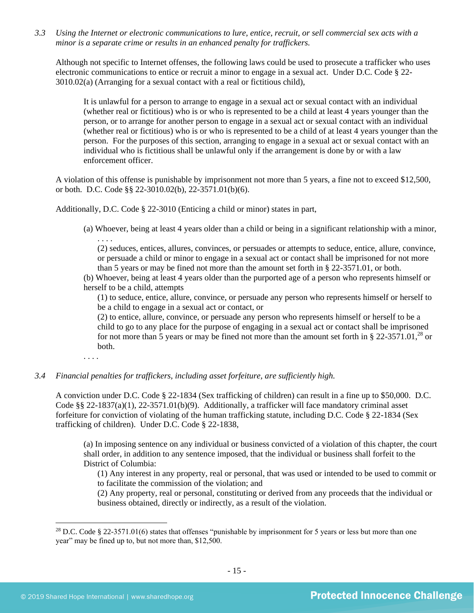*3.3 Using the Internet or electronic communications to lure, entice, recruit, or sell commercial sex acts with a minor is a separate crime or results in an enhanced penalty for traffickers.*

Although not specific to Internet offenses, the following laws could be used to prosecute a trafficker who uses electronic communications to entice or recruit a minor to engage in a sexual act. Under D.C. Code § 22- 3010.02(a) (Arranging for a sexual contact with a real or fictitious child),

It is unlawful for a person to arrange to engage in a sexual act or sexual contact with an individual (whether real or fictitious) who is or who is represented to be a child at least 4 years younger than the person, or to arrange for another person to engage in a sexual act or sexual contact with an individual (whether real or fictitious) who is or who is represented to be a child of at least 4 years younger than the person. For the purposes of this section, arranging to engage in a sexual act or sexual contact with an individual who is fictitious shall be unlawful only if the arrangement is done by or with a law enforcement officer.

A violation of this offense is punishable by imprisonment not more than 5 years, a fine not to exceed \$12,500, or both. D.C. Code §§ 22-3010.02(b), 22-3571.01(b)(6).

Additionally, D.C. Code § 22-3010 (Enticing a child or minor) states in part,

(a) Whoever, being at least 4 years older than a child or being in a significant relationship with a minor, . . . .

(2) seduces, entices, allures, convinces, or persuades or attempts to seduce, entice, allure, convince, or persuade a child or minor to engage in a sexual act or contact shall be imprisoned for not more than 5 years or may be fined not more than the amount set forth in § 22-3571.01, or both.

(b) Whoever, being at least 4 years older than the purported age of a person who represents himself or herself to be a child, attempts

(1) to seduce, entice, allure, convince, or persuade any person who represents himself or herself to be a child to engage in a sexual act or contact, or

(2) to entice, allure, convince, or persuade any person who represents himself or herself to be a child to go to any place for the purpose of engaging in a sexual act or contact shall be imprisoned for not more than 5 years or may be fined not more than the amount set forth in  $\S 22-3571.01$ ,<sup>28</sup> or both.

. . . .

#### *3.4 Financial penalties for traffickers, including asset forfeiture, are sufficiently high.*

A conviction under D.C. Code § 22-1834 (Sex trafficking of children) can result in a fine up to \$50,000. D.C. Code §§ 22-1837(a)(1), 22-3571.01(b)(9). Additionally, a trafficker will face mandatory criminal asset forfeiture for conviction of violating of the human trafficking statute, including D.C. Code § 22-1834 (Sex trafficking of children). Under D.C. Code § 22-1838,

(a) In imposing sentence on any individual or business convicted of a violation of this chapter, the court shall order, in addition to any sentence imposed, that the individual or business shall forfeit to the District of Columbia:

(1) Any interest in any property, real or personal, that was used or intended to be used to commit or to facilitate the commission of the violation; and

(2) Any property, real or personal, constituting or derived from any proceeds that the individual or business obtained, directly or indirectly, as a result of the violation.

<sup>&</sup>lt;sup>28</sup> D.C. Code § 22-3571.01(6) states that offenses "punishable by imprisonment for 5 years or less but more than one year" may be fined up to, but not more than, \$12,500.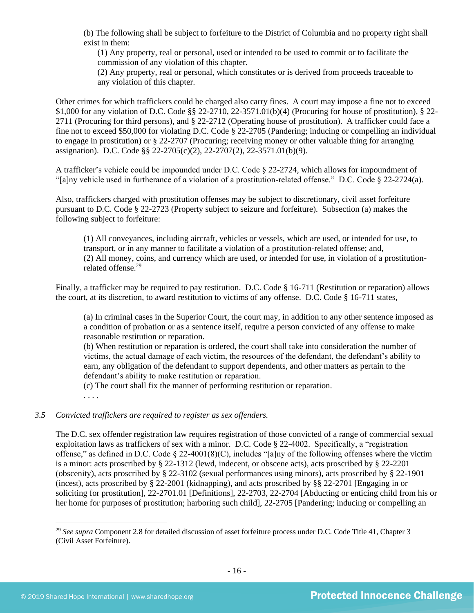(b) The following shall be subject to forfeiture to the District of Columbia and no property right shall exist in them:

(1) Any property, real or personal, used or intended to be used to commit or to facilitate the commission of any violation of this chapter.

(2) Any property, real or personal, which constitutes or is derived from proceeds traceable to any violation of this chapter.

Other crimes for which traffickers could be charged also carry fines. A court may impose a fine not to exceed \$1,000 for any violation of D.C. Code §§ 22-2710, 22-3571.01(b)(4) (Procuring for house of prostitution), § 22- 2711 (Procuring for third persons), and § 22-2712 (Operating house of prostitution). A trafficker could face a fine not to exceed \$50,000 for violating D.C. Code § 22-2705 (Pandering; inducing or compelling an individual to engage in prostitution) or § 22-2707 (Procuring; receiving money or other valuable thing for arranging assignation). D.C. Code §§ 22-2705(c)(2), 22-2707(2), 22-3571.01(b)(9).

A trafficker's vehicle could be impounded under D.C. Code § 22-2724, which allows for impoundment of "[a]ny vehicle used in furtherance of a violation of a prostitution-related offense." D.C. Code § 22-2724(a).

Also, traffickers charged with prostitution offenses may be subject to discretionary, civil asset forfeiture pursuant to D.C. Code § 22-2723 (Property subject to seizure and forfeiture). Subsection (a) makes the following subject to forfeiture:

(1) All conveyances, including aircraft, vehicles or vessels, which are used, or intended for use, to transport, or in any manner to facilitate a violation of a prostitution-related offense; and, (2) All money, coins, and currency which are used, or intended for use, in violation of a prostitutionrelated offense.<sup>29</sup>

Finally, a trafficker may be required to pay restitution. D.C. Code § 16-711 (Restitution or reparation) allows the court, at its discretion, to award restitution to victims of any offense. D.C. Code § 16-711 states,

(a) In criminal cases in the Superior Court, the court may, in addition to any other sentence imposed as a condition of probation or as a sentence itself, require a person convicted of any offense to make reasonable restitution or reparation.

(b) When restitution or reparation is ordered, the court shall take into consideration the number of victims, the actual damage of each victim, the resources of the defendant, the defendant's ability to earn, any obligation of the defendant to support dependents, and other matters as pertain to the defendant's ability to make restitution or reparation.

(c) The court shall fix the manner of performing restitution or reparation.

. . . .

## *3.5 Convicted traffickers are required to register as sex offenders.*

The D.C. sex offender registration law requires registration of those convicted of a range of commercial sexual exploitation laws as traffickers of sex with a minor. D.C. Code § 22-4002. Specifically, a "registration offense," as defined in D.C. Code § 22-4001(8)(C), includes "[a]ny of the following offenses where the victim is a minor: acts proscribed by § 22-1312 (lewd, indecent, or obscene acts), acts proscribed by § 22-2201 (obscenity), acts proscribed by § 22-3102 (sexual performances using minors), acts proscribed by § 22-1901 (incest), acts proscribed by § 22-2001 (kidnapping), and acts proscribed by §§ 22-2701 [Engaging in or soliciting for prostitution], 22-2701.01 [Definitions], 22-2703, 22-2704 [Abducting or enticing child from his or her home for purposes of prostitution; harboring such child], 22-2705 [Pandering; inducing or compelling an

<sup>&</sup>lt;sup>29</sup> See supra Component 2.8 for detailed discussion of asset forfeiture process under D.C. Code Title 41, Chapter 3 (Civil Asset Forfeiture).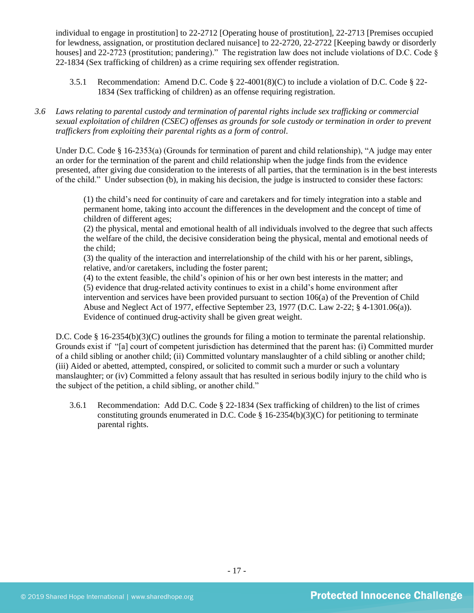individual to engage in prostitution] to 22-2712 [Operating house of prostitution], 22-2713 [Premises occupied for lewdness, assignation, or prostitution declared nuisance] to 22-2720, 22-2722 [Keeping bawdy or disorderly houses] and 22-2723 (prostitution; pandering)." The registration law does not include violations of D.C. Code § 22-1834 (Sex trafficking of children) as a crime requiring sex offender registration.

- 3.5.1 Recommendation: Amend D.C. Code § 22-4001(8)(C) to include a violation of D.C. Code § 22- 1834 (Sex trafficking of children) as an offense requiring registration.
- *3.6 Laws relating to parental custody and termination of parental rights include sex trafficking or commercial sexual exploitation of children (CSEC) offenses as grounds for sole custody or termination in order to prevent traffickers from exploiting their parental rights as a form of control.*

Under D.C. Code § 16-2353(a) (Grounds for termination of parent and child relationship), "A judge may enter an order for the termination of the parent and child relationship when the judge finds from the evidence presented, after giving due consideration to the interests of all parties, that the termination is in the best interests of the child." Under subsection (b), in making his decision, the judge is instructed to consider these factors:

(1) the child's need for continuity of care and caretakers and for timely integration into a stable and permanent home, taking into account the differences in the development and the concept of time of children of different ages;

(2) the physical, mental and emotional health of all individuals involved to the degree that such affects the welfare of the child, the decisive consideration being the physical, mental and emotional needs of the child;

(3) the quality of the interaction and interrelationship of the child with his or her parent, siblings, relative, and/or caretakers, including the foster parent;

(4) to the extent feasible, the child's opinion of his or her own best interests in the matter; and (5) evidence that drug-related activity continues to exist in a child's home environment after intervention and services have been provided pursuant to section 106(a) of the Prevention of Child Abuse and Neglect Act of 1977, effective September 23, 1977 (D.C. Law 2-22; § 4-1301.06(a)). Evidence of continued drug-activity shall be given great weight.

D.C. Code § 16-2354(b)(3)(C) outlines the grounds for filing a motion to terminate the parental relationship. Grounds exist if "[a] court of competent jurisdiction has determined that the parent has: (i) Committed murder of a child sibling or another child; (ii) Committed voluntary manslaughter of a child sibling or another child; (iii) Aided or abetted, attempted, conspired, or solicited to commit such a murder or such a voluntary manslaughter; or (iv) Committed a felony assault that has resulted in serious bodily injury to the child who is the subject of the petition, a child sibling, or another child."

3.6.1 Recommendation: Add D.C. Code § 22-1834 (Sex trafficking of children) to the list of crimes constituting grounds enumerated in D.C. Code  $\S$  16-2354(b)(3)(C) for petitioning to terminate parental rights.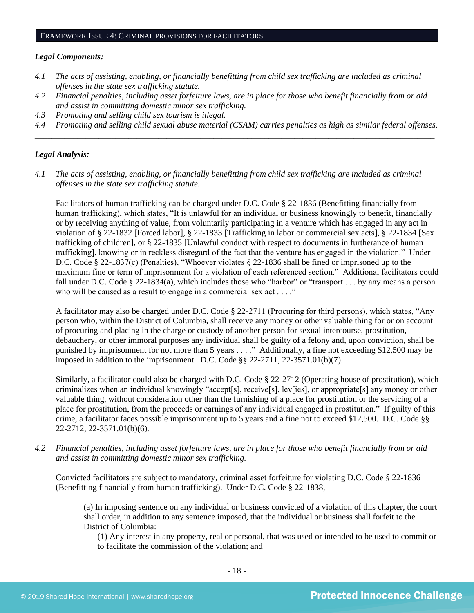#### *Legal Components:*

- *4.1 The acts of assisting, enabling, or financially benefitting from child sex trafficking are included as criminal offenses in the state sex trafficking statute.*
- *4.2 Financial penalties, including asset forfeiture laws, are in place for those who benefit financially from or aid and assist in committing domestic minor sex trafficking.*
- *4.3 Promoting and selling child sex tourism is illegal.*
- *4.4 Promoting and selling child sexual abuse material (CSAM) carries penalties as high as similar federal offenses. \_\_\_\_\_\_\_\_\_\_\_\_\_\_\_\_\_\_\_\_\_\_\_\_\_\_\_\_\_\_\_\_\_\_\_\_\_\_\_\_\_\_\_\_\_\_\_\_\_\_\_\_\_\_\_\_\_\_\_\_\_\_\_\_\_\_\_\_\_\_\_\_\_\_\_\_\_\_\_\_\_\_\_\_\_\_\_\_\_\_\_\_\_\_*

#### *Legal Analysis:*

*4.1 The acts of assisting, enabling, or financially benefitting from child sex trafficking are included as criminal offenses in the state sex trafficking statute.*

Facilitators of human trafficking can be charged under D.C. Code § 22-1836 (Benefitting financially from human trafficking), which states, "It is unlawful for an individual or business knowingly to benefit, financially or by receiving anything of value, from voluntarily participating in a venture which has engaged in any act in violation of § 22-1832 [Forced labor], § 22-1833 [Trafficking in labor or commercial sex acts], § 22-1834 [Sex trafficking of children], or § 22-1835 [Unlawful conduct with respect to documents in furtherance of human trafficking], knowing or in reckless disregard of the fact that the venture has engaged in the violation." Under D.C. Code § 22-1837(c) (Penalties), "Whoever violates § 22-1836 shall be fined or imprisoned up to the maximum fine or term of imprisonment for a violation of each referenced section." Additional facilitators could fall under D.C. Code § 22-1834(a), which includes those who "harbor" or "transport . . . by any means a person who will be caused as a result to engage in a commercial sex act . . . ."

A facilitator may also be charged under D.C. Code § 22-2711 (Procuring for third persons), which states, "Any person who, within the District of Columbia, shall receive any money or other valuable thing for or on account of procuring and placing in the charge or custody of another person for sexual intercourse, prostitution, debauchery, or other immoral purposes any individual shall be guilty of a felony and, upon conviction, shall be punished by imprisonment for not more than 5 years . . . ." Additionally, a fine not exceeding \$12,500 may be imposed in addition to the imprisonment. D.C. Code §§ 22-2711, 22-3571.01(b)(7).

Similarly, a facilitator could also be charged with D.C. Code § 22-2712 (Operating house of prostitution), which criminalizes when an individual knowingly "accept[s], receive[s], lev[ies], or appropriate[s] any money or other valuable thing, without consideration other than the furnishing of a place for prostitution or the servicing of a place for prostitution, from the proceeds or earnings of any individual engaged in prostitution." If guilty of this crime, a facilitator faces possible imprisonment up to 5 years and a fine not to exceed \$12,500. D.C. Code §§ 22-2712, 22-3571.01(b)(6).

*4.2 Financial penalties, including asset forfeiture laws, are in place for those who benefit financially from or aid and assist in committing domestic minor sex trafficking.*

Convicted facilitators are subject to mandatory, criminal asset forfeiture for violating D.C. Code § 22-1836 (Benefitting financially from human trafficking). Under D.C. Code § 22-1838,

(a) In imposing sentence on any individual or business convicted of a violation of this chapter, the court shall order, in addition to any sentence imposed, that the individual or business shall forfeit to the District of Columbia:

(1) Any interest in any property, real or personal, that was used or intended to be used to commit or to facilitate the commission of the violation; and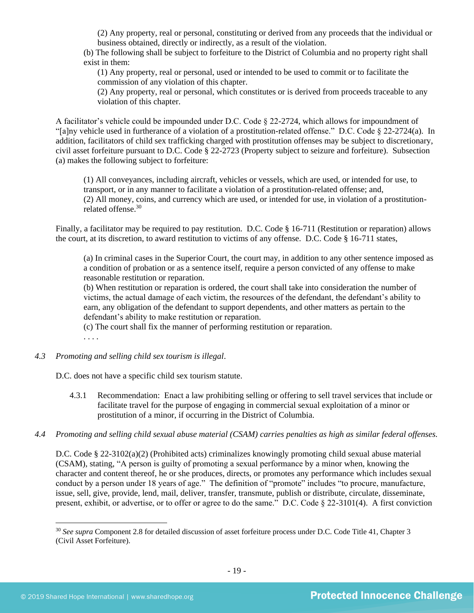(2) Any property, real or personal, constituting or derived from any proceeds that the individual or business obtained, directly or indirectly, as a result of the violation.

(b) The following shall be subject to forfeiture to the District of Columbia and no property right shall exist in them:

(1) Any property, real or personal, used or intended to be used to commit or to facilitate the commission of any violation of this chapter.

(2) Any property, real or personal, which constitutes or is derived from proceeds traceable to any violation of this chapter.

A facilitator's vehicle could be impounded under D.C. Code § 22-2724, which allows for impoundment of "[a]ny vehicle used in furtherance of a violation of a prostitution-related offense." D.C. Code § 22-2724(a). In addition, facilitators of child sex trafficking charged with prostitution offenses may be subject to discretionary, civil asset forfeiture pursuant to D.C. Code § 22-2723 (Property subject to seizure and forfeiture). Subsection (a) makes the following subject to forfeiture:

(1) All conveyances, including aircraft, vehicles or vessels, which are used, or intended for use, to transport, or in any manner to facilitate a violation of a prostitution-related offense; and, (2) All money, coins, and currency which are used, or intended for use, in violation of a prostitutionrelated offense. 30

Finally, a facilitator may be required to pay restitution. D.C. Code § 16-711 (Restitution or reparation) allows the court, at its discretion, to award restitution to victims of any offense. D.C. Code § 16-711 states,

(a) In criminal cases in the Superior Court, the court may, in addition to any other sentence imposed as a condition of probation or as a sentence itself, require a person convicted of any offense to make reasonable restitution or reparation.

(b) When restitution or reparation is ordered, the court shall take into consideration the number of victims, the actual damage of each victim, the resources of the defendant, the defendant's ability to earn, any obligation of the defendant to support dependents, and other matters as pertain to the defendant's ability to make restitution or reparation.

(c) The court shall fix the manner of performing restitution or reparation.

- . . . .
- *4.3 Promoting and selling child sex tourism is illegal*.

D.C. does not have a specific child sex tourism statute.

- 4.3.1 Recommendation: Enact a law prohibiting selling or offering to sell travel services that include or facilitate travel for the purpose of engaging in commercial sexual exploitation of a minor or prostitution of a minor, if occurring in the District of Columbia.
- *4.4 Promoting and selling child sexual abuse material (CSAM) carries penalties as high as similar federal offenses.*

D.C. Code § 22-3102(a)(2) (Prohibited acts) criminalizes knowingly promoting child sexual abuse material (CSAM), stating, "A person is guilty of promoting a sexual performance by a minor when, knowing the character and content thereof, he or she produces, directs, or promotes any performance which includes sexual conduct by a person under 18 years of age." The definition of "promote" includes "to procure, manufacture, issue, sell, give, provide, lend, mail, deliver, transfer, transmute, publish or distribute, circulate, disseminate, present, exhibit, or advertise, or to offer or agree to do the same.<sup> $\ddot{v}$ </sup> D.C. Code  $\&$  22-3101(4). A first conviction

<sup>30</sup> *See supra* Component 2.8 for detailed discussion of asset forfeiture process under D.C. Code Title 41, Chapter 3 (Civil Asset Forfeiture).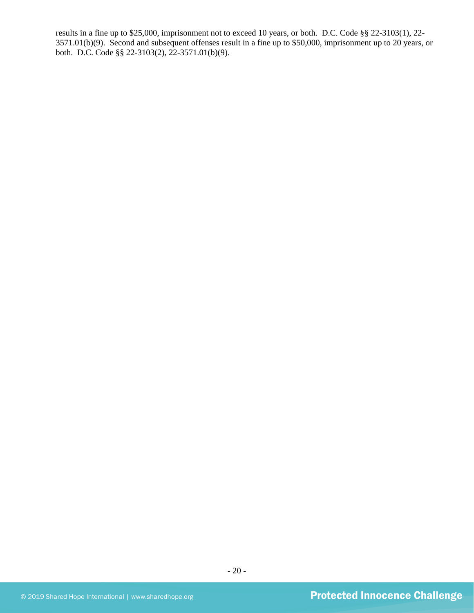results in a fine up to \$25,000, imprisonment not to exceed 10 years, or both. D.C. Code §§ 22-3103(1), 22- 3571.01(b)(9). Second and subsequent offenses result in a fine up to \$50,000, imprisonment up to 20 years, or both. D.C. Code §§ 22-3103(2), 22-3571.01(b)(9).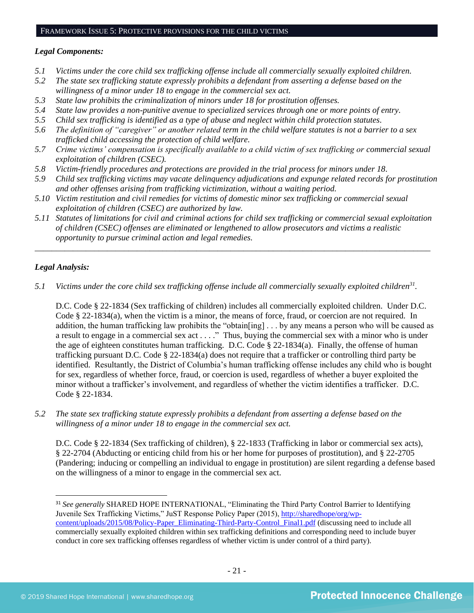#### FRAMEWORK ISSUE 5: PROTECTIVE PROVISIONS FOR THE CHILD VICTIMS

## *Legal Components:*

- *5.1 Victims under the core child sex trafficking offense include all commercially sexually exploited children.*
- *5.2 The state sex trafficking statute expressly prohibits a defendant from asserting a defense based on the willingness of a minor under 18 to engage in the commercial sex act.*
- *5.3 State law prohibits the criminalization of minors under 18 for prostitution offenses.*
- *5.4 State law provides a non-punitive avenue to specialized services through one or more points of entry.*
- *5.5 Child sex trafficking is identified as a type of abuse and neglect within child protection statutes.*
- *5.6 The definition of "caregiver" or another related term in the child welfare statutes is not a barrier to a sex trafficked child accessing the protection of child welfare.*
- *5.7 Crime victims' compensation is specifically available to a child victim of sex trafficking or commercial sexual exploitation of children (CSEC).*
- *5.8 Victim-friendly procedures and protections are provided in the trial process for minors under 18.*
- *5.9 Child sex trafficking victims may vacate delinquency adjudications and expunge related records for prostitution and other offenses arising from trafficking victimization, without a waiting period.*
- *5.10 Victim restitution and civil remedies for victims of domestic minor sex trafficking or commercial sexual exploitation of children (CSEC) are authorized by law.*
- *5.11 Statutes of limitations for civil and criminal actions for child sex trafficking or commercial sexual exploitation of children (CSEC) offenses are eliminated or lengthened to allow prosecutors and victims a realistic opportunity to pursue criminal action and legal remedies.*

*\_\_\_\_\_\_\_\_\_\_\_\_\_\_\_\_\_\_\_\_\_\_\_\_\_\_\_\_\_\_\_\_\_\_\_\_\_\_\_\_\_\_\_\_\_\_\_\_\_\_\_\_\_\_\_\_\_\_\_\_\_\_\_\_\_\_\_\_\_\_\_\_\_\_\_\_\_\_\_\_\_\_\_\_\_\_\_\_\_\_\_\_\_*

## *Legal Analysis:*

*5.1* Victims under the core child sex trafficking offense include all commercially sexually exploited children<sup>31</sup>.

D.C. Code § 22-1834 (Sex trafficking of children) includes all commercially exploited children. Under D.C. Code § 22-1834(a), when the victim is a minor, the means of force, fraud, or coercion are not required. In addition, the human trafficking law prohibits the "obtain[ing] . . . by any means a person who will be caused as a result to engage in a commercial sex act . . . ." Thus, buying the commercial sex with a minor who is under the age of eighteen constitutes human trafficking. D.C. Code § 22-1834(a). Finally, the offense of human trafficking pursuant D.C. Code § 22-1834(a) does not require that a trafficker or controlling third party be identified. Resultantly, the District of Columbia's human trafficking offense includes any child who is bought for sex, regardless of whether force, fraud, or coercion is used, regardless of whether a buyer exploited the minor without a trafficker's involvement, and regardless of whether the victim identifies a trafficker. D.C. Code § 22-1834.

*5.2 The state sex trafficking statute expressly prohibits a defendant from asserting a defense based on the willingness of a minor under 18 to engage in the commercial sex act.* 

D.C. Code § 22-1834 (Sex trafficking of children), § 22-1833 (Trafficking in labor or commercial sex acts), § 22-2704 (Abducting or enticing child from his or her home for purposes of prostitution), and § 22-2705 (Pandering; inducing or compelling an individual to engage in prostitution) are silent regarding a defense based on the willingness of a minor to engage in the commercial sex act.

<sup>31</sup> *See generally* SHARED HOPE INTERNATIONAL, "Eliminating the Third Party Control Barrier to Identifying Juvenile Sex Trafficking Victims," JuST Response Policy Paper (2015), [http://sharedhope/org/wp](http://sharedhope/org/wp-content/uploads/2015/08/Policy-Paper_Eliminating-Third-Party-Control_Final1.pdf)[content/uploads/2015/08/Policy-Paper\\_Eliminating-Third-Party-Control\\_Final1.pdf](http://sharedhope/org/wp-content/uploads/2015/08/Policy-Paper_Eliminating-Third-Party-Control_Final1.pdf) (discussing need to include all commercially sexually exploited children within sex trafficking definitions and corresponding need to include buyer conduct in core sex trafficking offenses regardless of whether victim is under control of a third party).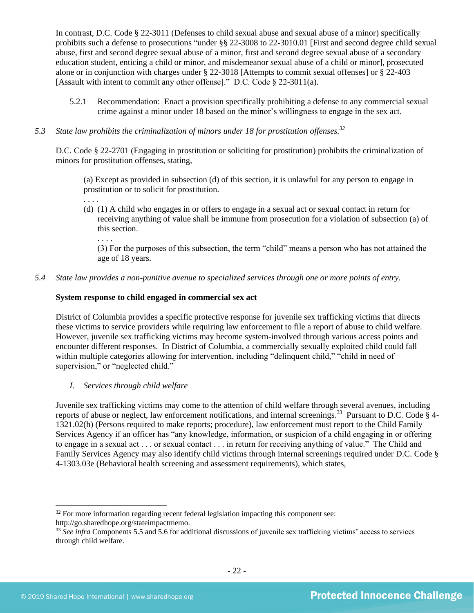In contrast, D.C. Code § 22-3011 (Defenses to child sexual abuse and sexual abuse of a minor) specifically prohibits such a defense to prosecutions "under §§ 22-3008 to 22-3010.01 [First and second degree child sexual abuse, first and second degree sexual abuse of a minor, first and second degree sexual abuse of a secondary education student, enticing a child or minor, and misdemeanor sexual abuse of a child or minor], prosecuted alone or in conjunction with charges under § 22-3018 [Attempts to commit sexual offenses] or § 22-403 [Assault with intent to commit any other offense]." D.C. Code § 22-3011(a).

5.2.1 Recommendation: Enact a provision specifically prohibiting a defense to any commercial sexual crime against a minor under 18 based on the minor's willingness to engage in the sex act.

## *5.3 State law prohibits the criminalization of minors under 18 for prostitution offenses.<sup>32</sup>*

D.C. Code § 22-2701 (Engaging in prostitution or soliciting for prostitution) prohibits the criminalization of minors for prostitution offenses, stating,

(a) Except as provided in subsection (d) of this section, it is unlawful for any person to engage in prostitution or to solicit for prostitution.

(d) (1) A child who engages in or offers to engage in a sexual act or sexual contact in return for receiving anything of value shall be immune from prosecution for a violation of subsection (a) of this section.

(3) For the purposes of this subsection, the term "child" means a person who has not attained the age of 18 years.

## *5.4 State law provides a non-punitive avenue to specialized services through one or more points of entry.*

#### **System response to child engaged in commercial sex act**

District of Columbia provides a specific protective response for juvenile sex trafficking victims that directs these victims to service providers while requiring law enforcement to file a report of abuse to child welfare. However, juvenile sex trafficking victims may become system-involved through various access points and encounter different responses. In District of Columbia, a commercially sexually exploited child could fall within multiple categories allowing for intervention, including "delinquent child," "child in need of supervision," or "neglected child."

*I. Services through child welfare*

. . . .

. . . .

Juvenile sex trafficking victims may come to the attention of child welfare through several avenues, including reports of abuse or neglect, law enforcement notifications, and internal screenings.<sup>33</sup> Pursuant to D.C. Code § 4-1321.02(h) (Persons required to make reports; procedure), law enforcement must report to the Child Family Services Agency if an officer has "any knowledge, information, or suspicion of a child engaging in or offering to engage in a sexual act . . . or sexual contact . . . in return for receiving anything of value." The Child and Family Services Agency may also identify child victims through internal screenings required under D.C. Code § 4-1303.03e (Behavioral health screening and assessment requirements), which states,

 $32$  For more information regarding recent federal legislation impacting this component see: http://go.sharedhope.org/stateimpactmemo.

<sup>33</sup> *See infra* Components 5.5 and 5.6 for additional discussions of juvenile sex trafficking victims' access to services through child welfare.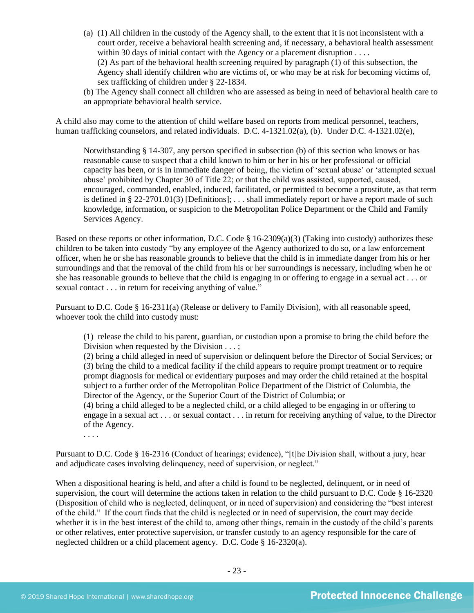(a) (1) All children in the custody of the Agency shall, to the extent that it is not inconsistent with a court order, receive a behavioral health screening and, if necessary, a behavioral health assessment within 30 days of initial contact with the Agency or a placement disruption . . . . (2) As part of the behavioral health screening required by paragraph (1) of this subsection, the Agency shall identify children who are victims of, or who may be at risk for becoming victims of, sex trafficking of children under § 22-1834.

(b) The Agency shall connect all children who are assessed as being in need of behavioral health care to an appropriate behavioral health service.

A child also may come to the attention of child welfare based on reports from medical personnel, teachers, human trafficking counselors, and related individuals. D.C. 4-1321.02(a), (b). Under D.C. 4-1321.02(e),

Notwithstanding § 14-307, any person specified in subsection (b) of this section who knows or has reasonable cause to suspect that a child known to him or her in his or her professional or official capacity has been, or is in immediate danger of being, the victim of 'sexual abuse' or 'attempted sexual abuse' prohibited by Chapter 30 of Title 22; or that the child was assisted, supported, caused, encouraged, commanded, enabled, induced, facilitated, or permitted to become a prostitute, as that term is defined in § 22-2701.01(3) [Definitions]; ... shall immediately report or have a report made of such knowledge, information, or suspicion to the Metropolitan Police Department or the Child and Family Services Agency.

Based on these reports or other information, D.C. Code § 16-2309(a)(3) (Taking into custody) authorizes these children to be taken into custody "by any employee of the Agency authorized to do so, or a law enforcement officer, when he or she has reasonable grounds to believe that the child is in immediate danger from his or her surroundings and that the removal of the child from his or her surroundings is necessary, including when he or she has reasonable grounds to believe that the child is engaging in or offering to engage in a sexual act . . . or sexual contact . . . in return for receiving anything of value."

Pursuant to D.C. Code § 16-2311(a) (Release or delivery to Family Division), with all reasonable speed, whoever took the child into custody must:

(1) release the child to his parent, guardian, or custodian upon a promise to bring the child before the Division when requested by the Division . . . ;

(2) bring a child alleged in need of supervision or delinquent before the Director of Social Services; or (3) bring the child to a medical facility if the child appears to require prompt treatment or to require prompt diagnosis for medical or evidentiary purposes and may order the child retained at the hospital subject to a further order of the Metropolitan Police Department of the District of Columbia, the Director of the Agency, or the Superior Court of the District of Columbia; or

(4) bring a child alleged to be a neglected child, or a child alleged to be engaging in or offering to engage in a sexual act . . . or sexual contact . . . in return for receiving anything of value, to the Director of the Agency.

. . . .

Pursuant to D.C. Code § 16-2316 (Conduct of hearings; evidence), "[t]he Division shall, without a jury, hear and adjudicate cases involving delinquency, need of supervision, or neglect."

When a dispositional hearing is held, and after a child is found to be neglected, delinquent, or in need of supervision, the court will determine the actions taken in relation to the child pursuant to D.C. Code § 16-2320 (Disposition of child who is neglected, delinquent, or in need of supervision) and considering the "best interest of the child." If the court finds that the child is neglected or in need of supervision, the court may decide whether it is in the best interest of the child to, among other things, remain in the custody of the child's parents or other relatives, enter protective supervision, or transfer custody to an agency responsible for the care of neglected children or a child placement agency. D.C. Code § 16-2320(a).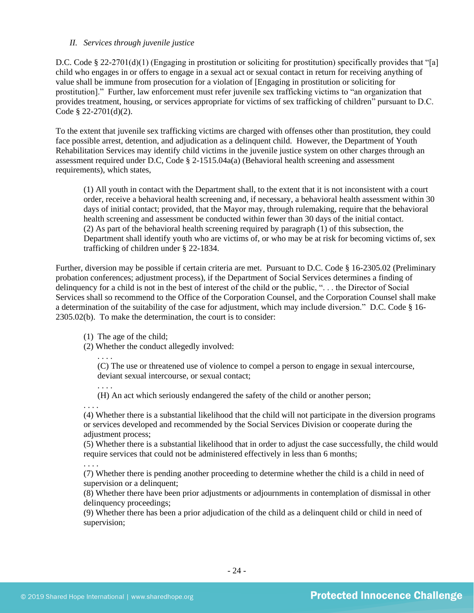## *II. Services through juvenile justice*

D.C. Code § 22-2701(d)(1) (Engaging in prostitution or soliciting for prostitution) specifically provides that "[a] child who engages in or offers to engage in a sexual act or sexual contact in return for receiving anything of value shall be immune from prosecution for a violation of [Engaging in prostitution or soliciting for prostitution]." Further, law enforcement must refer juvenile sex trafficking victims to "an organization that provides treatment, housing, or services appropriate for victims of sex trafficking of children" pursuant to D.C. Code § 22-2701(d)(2).

To the extent that juvenile sex trafficking victims are charged with offenses other than prostitution, they could face possible arrest, detention, and adjudication as a delinquent child. However, the Department of Youth Rehabilitation Services may identify child victims in the juvenile justice system on other charges through an assessment required under D.C, Code  $\S$  2-1515.04a(a) (Behavioral health screening and assessment requirements), which states,

(1) All youth in contact with the Department shall, to the extent that it is not inconsistent with a court order, receive a behavioral health screening and, if necessary, a behavioral health assessment within 30 days of initial contact; provided, that the Mayor may, through rulemaking, require that the behavioral health screening and assessment be conducted within fewer than 30 days of the initial contact. (2) As part of the behavioral health screening required by paragraph (1) of this subsection, the Department shall identify youth who are victims of, or who may be at risk for becoming victims of, sex trafficking of children under § 22-1834.

Further, diversion may be possible if certain criteria are met. Pursuant to D.C. Code § 16-2305.02 (Preliminary probation conferences; adjustment process), if the Department of Social Services determines a finding of delinquency for a child is not in the best of interest of the child or the public, ". . . the Director of Social Services shall so recommend to the Office of the Corporation Counsel, and the Corporation Counsel shall make a determination of the suitability of the case for adjustment, which may include diversion." D.C. Code § 16- 2305.02(b). To make the determination, the court is to consider:

(1) The age of the child;

(2) Whether the conduct allegedly involved:

. . . .

. . . .

(C) The use or threatened use of violence to compel a person to engage in sexual intercourse, deviant sexual intercourse, or sexual contact;

(H) An act which seriously endangered the safety of the child or another person;

. . . . (4) Whether there is a substantial likelihood that the child will not participate in the diversion programs or services developed and recommended by the Social Services Division or cooperate during the adjustment process;

(5) Whether there is a substantial likelihood that in order to adjust the case successfully, the child would require services that could not be administered effectively in less than 6 months;

. . . .

(7) Whether there is pending another proceeding to determine whether the child is a child in need of supervision or a delinquent;

(8) Whether there have been prior adjustments or adjournments in contemplation of dismissal in other delinquency proceedings;

(9) Whether there has been a prior adjudication of the child as a delinquent child or child in need of supervision;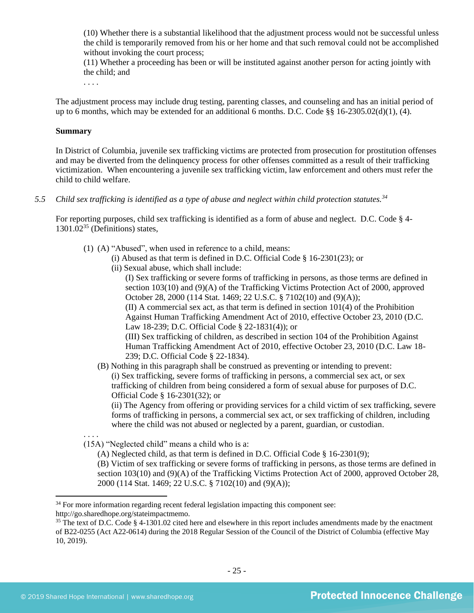(10) Whether there is a substantial likelihood that the adjustment process would not be successful unless the child is temporarily removed from his or her home and that such removal could not be accomplished without invoking the court process;

(11) Whether a proceeding has been or will be instituted against another person for acting jointly with the child; and

. . . .

The adjustment process may include drug testing, parenting classes, and counseling and has an initial period of up to 6 months, which may be extended for an additional 6 months. D.C. Code §§ 16-2305.02(d)(1), (4).

#### **Summary**

In District of Columbia, juvenile sex trafficking victims are protected from prosecution for prostitution offenses and may be diverted from the delinquency process for other offenses committed as a result of their trafficking victimization. When encountering a juvenile sex trafficking victim, law enforcement and others must refer the child to child welfare.

*5.5 Child sex trafficking is identified as a type of abuse and neglect within child protection statutes.<sup>34</sup>*

For reporting purposes, child sex trafficking is identified as a form of abuse and neglect. D.C. Code § 4-  $1301.02^{35}$  (Definitions) states,

- <span id="page-24-0"></span>(1) (A) "Abused", when used in reference to a child, means:
	- (i) Abused as that term is defined in D.C. Official Code § 16-2301(23); or
	- (ii) Sexual abuse, which shall include:

(I) Sex trafficking or severe forms of trafficking in persons, as those terms are defined in section 103(10) and (9)(A) of the Trafficking Victims Protection Act of 2000, approved October 28, 2000 (114 Stat. 1469; 22 U.S.C. § 7102(10) and (9)(A)); (II) A commercial sex act, as that term is defined in section 101(4) of the Prohibition Against Human Trafficking Amendment Act of 2010, effective October 23, 2010 (D.C. Law 18-239; D.C. Official Code § 22-1831(4)); or (III) Sex trafficking of children, as described in section 104 of the Prohibition Against Human Trafficking Amendment Act of 2010, effective October 23, 2010 (D.C. Law 18-

239; D.C. Official Code § 22-1834).

(B) Nothing in this paragraph shall be construed as preventing or intending to prevent: (i) Sex trafficking, severe forms of trafficking in persons, a commercial sex act, or sex trafficking of children from being considered a form of sexual abuse for purposes of D.C. Official Code § 16-2301(32); or

(ii) The Agency from offering or providing services for a child victim of sex trafficking, severe forms of trafficking in persons, a commercial sex act, or sex trafficking of children, including where the child was not abused or neglected by a parent, guardian, or custodian.

(15A) "Neglected child" means a child who is a:

(A) Neglected child, as that term is defined in D.C. Official Code § 16-2301(9);

(B) Victim of sex trafficking or severe forms of trafficking in persons, as those terms are defined in section 103(10) and (9)(A) of the Trafficking Victims Protection Act of 2000, approved October 28, 2000 (114 Stat. 1469; 22 U.S.C. § 7102(10) and (9)(A));

. . . .

<sup>&</sup>lt;sup>34</sup> For more information regarding recent federal legislation impacting this component see:

http://go.sharedhope.org/stateimpactmemo.

<sup>&</sup>lt;sup>35</sup> The text of D.C. Code § 4-1301.02 cited here and elsewhere in this report includes amendments made by the enactment of B22-0255 (Act A22-0614) during the 2018 Regular Session of the Council of the District of Columbia (effective May 10, 2019).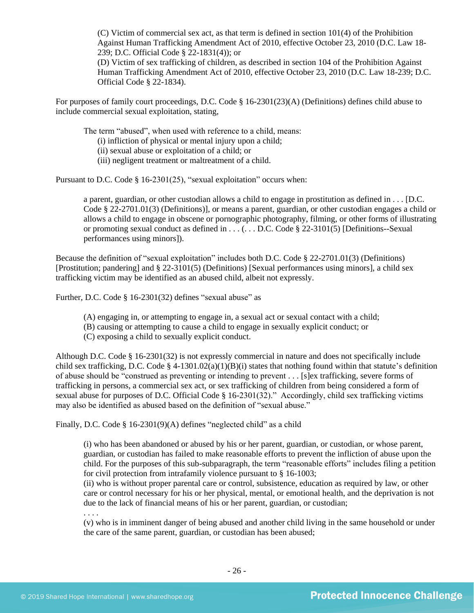(C) Victim of commercial sex act, as that term is defined in section 101(4) of the Prohibition Against Human Trafficking Amendment Act of 2010, effective October 23, 2010 (D.C. Law 18- 239; D.C. Official Code § 22-1831(4)); or

(D) Victim of sex trafficking of children, as described in section 104 of the Prohibition Against Human Trafficking Amendment Act of 2010, effective October 23, 2010 (D.C. Law 18-239; D.C. Official Code § 22-1834).

For purposes of family court proceedings, D.C. Code § 16-2301(23)(A) (Definitions) defines child abuse to include commercial sexual exploitation, stating,

The term "abused", when used with reference to a child, means:

(i) infliction of physical or mental injury upon a child;

(ii) sexual abuse or exploitation of a child; or

(iii) negligent treatment or maltreatment of a child.

Pursuant to D.C. Code § 16-2301(25), "sexual exploitation" occurs when:

a parent, guardian, or other custodian allows a child to engage in prostitution as defined in . . . [D.C. Code § 22-2701.01(3) (Definitions)], or means a parent, guardian, or other custodian engages a child or allows a child to engage in obscene or pornographic photography, filming, or other forms of illustrating or promoting sexual conduct as defined in  $\dots$  ( $\dots$  D.C. Code § 22-3101(5) [Definitions--Sexual performances using minors]).

Because the definition of "sexual exploitation" includes both D.C. Code § 22-2701.01(3) (Definitions) [Prostitution; pandering] and § 22-3101(5) (Definitions) [Sexual performances using minors], a child sex trafficking victim may be identified as an abused child, albeit not expressly.

Further, D.C. Code § 16-2301(32) defines "sexual abuse" as

- (A) engaging in, or attempting to engage in, a sexual act or sexual contact with a child;
- (B) causing or attempting to cause a child to engage in sexually explicit conduct; or
- (C) exposing a child to sexually explicit conduct.

Although D.C. Code § 16-2301(32) is not expressly commercial in nature and does not specifically include child sex trafficking, D.C. Code § 4-1301.02(a)(1)(B)(i) states that nothing found within that statute's definition of abuse should be "construed as preventing or intending to prevent . . . [s]ex trafficking, severe forms of trafficking in persons, a commercial sex act, or sex trafficking of children from being considered a form of sexual abuse for purposes of D.C. Official Code § 16-2301(32)." Accordingly, child sex trafficking victims may also be identified as abused based on the definition of "sexual abuse."

Finally, D.C. Code § 16-2301(9)(A) defines "neglected child" as a child

(i) who has been abandoned or abused by his or her parent, guardian, or custodian, or whose parent, guardian, or custodian has failed to make reasonable efforts to prevent the infliction of abuse upon the child. For the purposes of this sub-subparagraph, the term "reasonable efforts" includes filing a petition for civil protection from intrafamily violence pursuant to § 16-1003;

(ii) who is without proper parental care or control, subsistence, education as required by law, or other care or control necessary for his or her physical, mental, or emotional health, and the deprivation is not due to the lack of financial means of his or her parent, guardian, or custodian;

. . . .

(v) who is in imminent danger of being abused and another child living in the same household or under the care of the same parent, guardian, or custodian has been abused;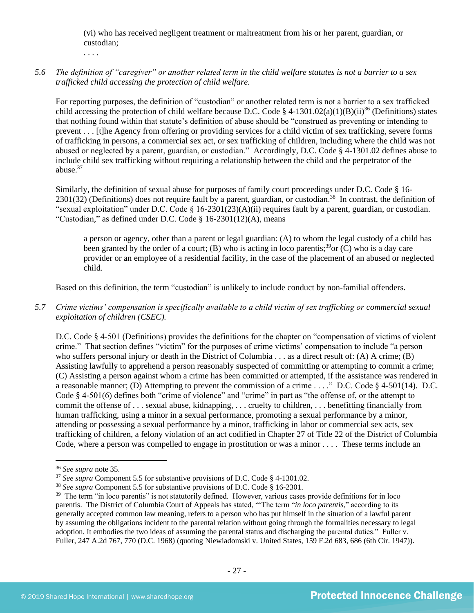(vi) who has received negligent treatment or maltreatment from his or her parent, guardian, or custodian;

. . . .

*5.6 The definition of "caregiver" or another related term in the child welfare statutes is not a barrier to a sex trafficked child accessing the protection of child welfare.*

For reporting purposes, the definition of "custodian" or another related term is not a barrier to a sex trafficked child accessing the protection of child welfare because D.C. Code § 4-1301.02(a)(1)(B)(ii)<sup>36</sup> (Definitions) states that nothing found within that statute's definition of abuse should be "construed as preventing or intending to prevent . . . [t]he Agency from offering or providing services for a child victim of sex trafficking, severe forms of trafficking in persons, a commercial sex act, or sex trafficking of children, including where the child was not abused or neglected by a parent, guardian, or custodian." Accordingly, D.C. Code § 4-1301.02 defines abuse to include child sex trafficking without requiring a relationship between the child and the perpetrator of the abuse. $37$ 

Similarly, the definition of sexual abuse for purposes of family court proceedings under D.C. Code § 16-  $2301(32)$  (Definitions) does not require fault by a parent, guardian, or custodian.<sup>38</sup> In contrast, the definition of "sexual exploitation" under D.C. Code § 16-2301(23)(A)(ii) requires fault by a parent, guardian, or custodian. "Custodian," as defined under D.C. Code § 16-2301(12)(A), means

a person or agency, other than a parent or legal guardian: (A) to whom the legal custody of a child has been granted by the order of a court; (B) who is acting in loco parentis;<sup>39</sup>or (C) who is a day care provider or an employee of a residential facility, in the case of the placement of an abused or neglected child.

Based on this definition, the term "custodian" is unlikely to include conduct by non-familial offenders.

*5.7 Crime victims' compensation is specifically available to a child victim of sex trafficking or commercial sexual exploitation of children (CSEC).*

D.C. Code § 4-501 (Definitions) provides the definitions for the chapter on "compensation of victims of violent crime." That section defines "victim" for the purposes of crime victims' compensation to include "a person who suffers personal injury or death in the District of Columbia . . . as a direct result of: (A) A crime; (B) Assisting lawfully to apprehend a person reasonably suspected of committing or attempting to commit a crime; (C) Assisting a person against whom a crime has been committed or attempted, if the assistance was rendered in a reasonable manner; (D) Attempting to prevent the commission of a crime . . . ." D.C. Code  $\S$  4-501(14). D.C. Code § 4-501(6) defines both "crime of violence" and "crime" in part as "the offense of, or the attempt to commit the offense of . . . sexual abuse, kidnapping, . . . cruelty to children, . . . benefitting financially from human trafficking, using a minor in a sexual performance, promoting a sexual performance by a minor, attending or possessing a sexual performance by a minor, trafficking in labor or commercial sex acts, sex trafficking of children, a felony violation of an act codified in Chapter 27 of Title 22 of the District of Columbia Code, where a person was compelled to engage in prostitution or was a minor . . . . These terms include an

<sup>36</sup> *See supra* note [35.](#page-24-0)

<sup>&</sup>lt;sup>37</sup> *See supra* Component 5.5 for substantive provisions of D.C. Code § 4-1301.02.

<sup>38</sup> *See supra* Component 5.5 for substantive provisions of D.C. Code § 16-2301.

<sup>&</sup>lt;sup>39</sup> The term "in loco parentis" is not statutorily defined. However, various cases provide definitions for in loco parentis. The District of Columbia Court of Appeals has stated, "'The term "*in loco parentis*," according to its generally accepted common law meaning, refers to a person who has put himself in the situation of a lawful parent by assuming the obligations incident to the parental relation without going through the formalities necessary to legal adoption. It embodies the two ideas of assuming the parental status and discharging the parental duties." Fuller v. Fuller, 247 A.2d 767, 770 (D.C. 1968) (quoting Niewiadomski v. United States, 159 F.2d 683, 686 (6th Cir. 1947)).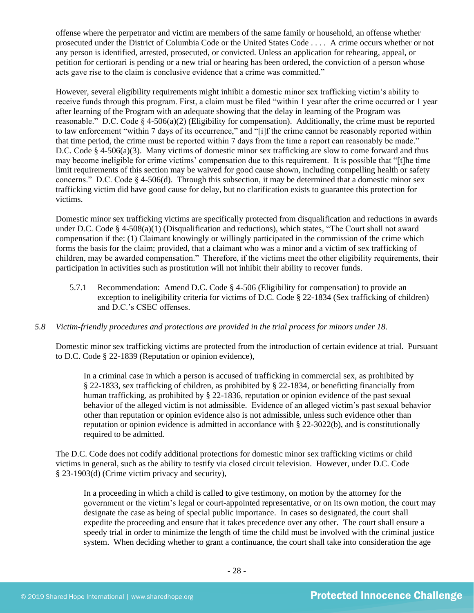offense where the perpetrator and victim are members of the same family or household, an offense whether prosecuted under the District of Columbia Code or the United States Code . . . . A crime occurs whether or not any person is identified, arrested, prosecuted, or convicted. Unless an application for rehearing, appeal, or petition for certiorari is pending or a new trial or hearing has been ordered, the conviction of a person whose acts gave rise to the claim is conclusive evidence that a crime was committed."

However, several eligibility requirements might inhibit a domestic minor sex trafficking victim's ability to receive funds through this program. First, a claim must be filed "within 1 year after the crime occurred or 1 year after learning of the Program with an adequate showing that the delay in learning of the Program was reasonable." D.C. Code § 4-506(a)(2) (Eligibility for compensation). Additionally, the crime must be reported to law enforcement "within 7 days of its occurrence," and "[i]f the crime cannot be reasonably reported within that time period, the crime must be reported within 7 days from the time a report can reasonably be made." D.C. Code  $\S$  4-506(a)(3). Many victims of domestic minor sex trafficking are slow to come forward and thus may become ineligible for crime victims' compensation due to this requirement. It is possible that "[t]he time limit requirements of this section may be waived for good cause shown, including compelling health or safety concerns." D.C. Code  $\S$  4-506(d). Through this subsection, it may be determined that a domestic minor sex trafficking victim did have good cause for delay, but no clarification exists to guarantee this protection for victims.

Domestic minor sex trafficking victims are specifically protected from disqualification and reductions in awards under D.C. Code § 4-508(a)(1) (Disqualification and reductions), which states, "The Court shall not award compensation if the: (1) Claimant knowingly or willingly participated in the commission of the crime which forms the basis for the claim; provided, that a claimant who was a minor and a victim of sex trafficking of children, may be awarded compensation." Therefore, if the victims meet the other eligibility requirements, their participation in activities such as prostitution will not inhibit their ability to recover funds.

5.7.1 Recommendation: Amend D.C. Code § 4-506 (Eligibility for compensation) to provide an exception to ineligibility criteria for victims of D.C. Code § 22-1834 (Sex trafficking of children) and D.C.'s CSEC offenses.

## *5.8 Victim-friendly procedures and protections are provided in the trial process for minors under 18.*

Domestic minor sex trafficking victims are protected from the introduction of certain evidence at trial. Pursuant to D.C. Code § 22-1839 (Reputation or opinion evidence),

In a criminal case in which a person is accused of trafficking in commercial sex, as prohibited by § 22-1833, sex trafficking of children, as prohibited by § 22-1834, or benefitting financially from human trafficking, as prohibited by § 22-1836, reputation or opinion evidence of the past sexual behavior of the alleged victim is not admissible. Evidence of an alleged victim's past sexual behavior other than reputation or opinion evidence also is not admissible, unless such evidence other than reputation or opinion evidence is admitted in accordance with § 22-3022(b), and is constitutionally required to be admitted.

The D.C. Code does not codify additional protections for domestic minor sex trafficking victims or child victims in general, such as the ability to testify via closed circuit television. However, under D.C. Code § 23-1903(d) (Crime victim privacy and security),

In a proceeding in which a child is called to give testimony, on motion by the attorney for the government or the victim's legal or court-appointed representative, or on its own motion, the court may designate the case as being of special public importance. In cases so designated, the court shall expedite the proceeding and ensure that it takes precedence over any other. The court shall ensure a speedy trial in order to minimize the length of time the child must be involved with the criminal justice system. When deciding whether to grant a continuance, the court shall take into consideration the age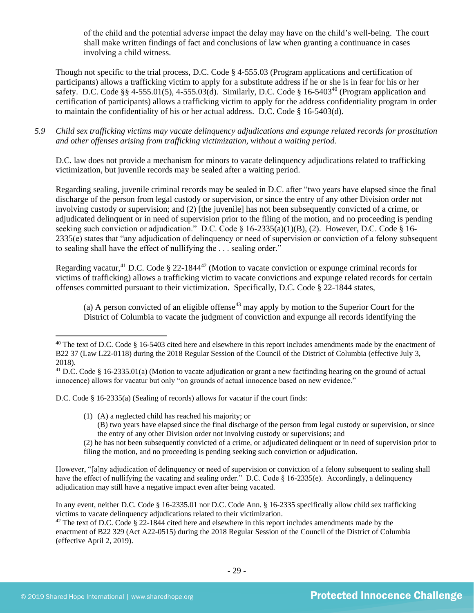of the child and the potential adverse impact the delay may have on the child's well-being. The court shall make written findings of fact and conclusions of law when granting a continuance in cases involving a child witness.

Though not specific to the trial process, D.C. Code § 4-555.03 (Program applications and certification of participants) allows a trafficking victim to apply for a substitute address if he or she is in fear for his or her safety. D.C. Code §§ 4-555.01(5), 4-555.03(d). Similarly, D.C. Code § 16-5403<sup>40</sup> (Program application and certification of participants) allows a trafficking victim to apply for the address confidentiality program in order to maintain the confidentiality of his or her actual address. D.C. Code § 16-5403(d).

*5.9 Child sex trafficking victims may vacate delinquency adjudications and expunge related records for prostitution and other offenses arising from trafficking victimization, without a waiting period.*

D.C. law does not provide a mechanism for minors to vacate delinquency adjudications related to trafficking victimization, but juvenile records may be sealed after a waiting period.

Regarding sealing, juvenile criminal records may be sealed in D.C. after "two years have elapsed since the final discharge of the person from legal custody or supervision, or since the entry of any other Division order not involving custody or supervision; and (2) [the juvenile] has not been subsequently convicted of a crime, or adjudicated delinquent or in need of supervision prior to the filing of the motion, and no proceeding is pending seeking such conviction or adjudication." D.C. Code  $\S$  16-2335(a)(1)(B), (2). However, D.C. Code  $\S$  16-2335(e) states that "any adjudication of delinquency or need of supervision or conviction of a felony subsequent to sealing shall have the effect of nullifying the . . . sealing order."

Regarding vacatur,<sup>41</sup> D.C. Code § 22-1844<sup>42</sup> (Motion to vacate conviction or expunge criminal records for victims of trafficking) allows a trafficking victim to vacate convictions and expunge related records for certain offenses committed pursuant to their victimization. Specifically, D.C. Code § 22-1844 states,

(a) A person convicted of an eligible offense<sup>43</sup> may apply by motion to the Superior Court for the District of Columbia to vacate the judgment of conviction and expunge all records identifying the

D.C. Code § 16-2335(a) (Sealing of records) allows for vacatur if the court finds:

- (1) (A) a neglected child has reached his majority; or
	- (B) two years have elapsed since the final discharge of the person from legal custody or supervision, or since the entry of any other Division order not involving custody or supervisions; and

(2) he has not been subsequently convicted of a crime, or adjudicated delinquent or in need of supervision prior to filing the motion, and no proceeding is pending seeking such conviction or adjudication.

However, "[a]ny adjudication of delinquency or need of supervision or conviction of a felony subsequent to sealing shall have the effect of nullifying the vacating and sealing order." D.C. Code § 16-2335(e). Accordingly, a delinquency adjudication may still have a negative impact even after being vacated.

In any event, neither D.C. Code § 16-2335.01 nor D.C. Code Ann. § 16-2335 specifically allow child sex trafficking victims to vacate delinquency adjudications related to their victimization.

<sup>42</sup> The text of D.C. Code § 22-1844 cited here and elsewhere in this report includes amendments made by the enactment of B22 329 (Act A22-0515) during the 2018 Regular Session of the Council of the District of Columbia (effective April 2, 2019).

 $40$  The text of D.C. Code § 16-5403 cited here and elsewhere in this report includes amendments made by the enactment of B22 37 (Law L22-0118) during the 2018 Regular Session of the Council of the District of Columbia (effective July 3, 2018).

<sup>&</sup>lt;sup>41</sup> D.C. Code § 16-2335.01(a) (Motion to vacate adjudication or grant a new factfinding hearing on the ground of actual innocence) allows for vacatur but only "on grounds of actual innocence based on new evidence."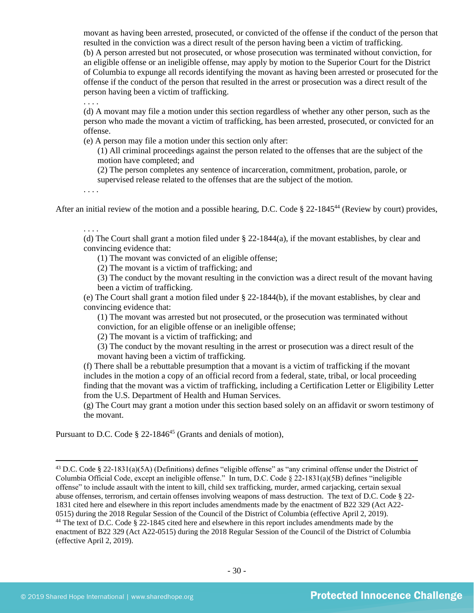movant as having been arrested, prosecuted, or convicted of the offense if the conduct of the person that resulted in the conviction was a direct result of the person having been a victim of trafficking. (b) A person arrested but not prosecuted, or whose prosecution was terminated without conviction, for an eligible offense or an ineligible offense, may apply by motion to the Superior Court for the District of Columbia to expunge all records identifying the movant as having been arrested or prosecuted for the offense if the conduct of the person that resulted in the arrest or prosecution was a direct result of the person having been a victim of trafficking.

. . . .

(d) A movant may file a motion under this section regardless of whether any other person, such as the person who made the movant a victim of trafficking, has been arrested, prosecuted, or convicted for an offense.

(e) A person may file a motion under this section only after:

(1) All criminal proceedings against the person related to the offenses that are the subject of the motion have completed; and

(2) The person completes any sentence of incarceration, commitment, probation, parole, or supervised release related to the offenses that are the subject of the motion.

. . . .

After an initial review of the motion and a possible hearing, D.C. Code  $\S$  22-1845<sup>44</sup> (Review by court) provides,

. . . .

(d) The Court shall grant a motion filed under § 22-1844(a), if the movant establishes, by clear and convincing evidence that:

(1) The movant was convicted of an eligible offense;

(2) The movant is a victim of trafficking; and

(3) The conduct by the movant resulting in the conviction was a direct result of the movant having been a victim of trafficking.

(e) The Court shall grant a motion filed under § 22-1844(b), if the movant establishes, by clear and convincing evidence that:

(1) The movant was arrested but not prosecuted, or the prosecution was terminated without conviction, for an eligible offense or an ineligible offense;

(2) The movant is a victim of trafficking; and

(3) The conduct by the movant resulting in the arrest or prosecution was a direct result of the movant having been a victim of trafficking.

(f) There shall be a rebuttable presumption that a movant is a victim of trafficking if the movant includes in the motion a copy of an official record from a federal, state, tribal, or local proceeding finding that the movant was a victim of trafficking, including a Certification Letter or Eligibility Letter from the U.S. Department of Health and Human Services.

(g) The Court may grant a motion under this section based solely on an affidavit or sworn testimony of the movant.

Pursuant to D.C. Code  $\S$  22-1846<sup>45</sup> (Grants and denials of motion),

<sup>43</sup> D.C. Code § 22-1831(a)(5A) (Definitions) defines "eligible offense" as "any criminal offense under the District of Columbia Official Code, except an ineligible offense." In turn, D.C. Code § 22-1831(a)(5B) defines "ineligible offense" to include assault with the intent to kill, child sex trafficking, murder, armed carjacking, certain sexual abuse offenses, terrorism, and certain offenses involving weapons of mass destruction. The text of D.C. Code § 22- 1831 cited here and elsewhere in this report includes amendments made by the enactment of B22 329 (Act A22- 0515) during the 2018 Regular Session of the Council of the District of Columbia (effective April 2, 2019). <sup>44</sup> The text of D.C. Code § 22-1845 cited here and elsewhere in this report includes amendments made by the enactment of B22 329 (Act A22-0515) during the 2018 Regular Session of the Council of the District of Columbia (effective April 2, 2019).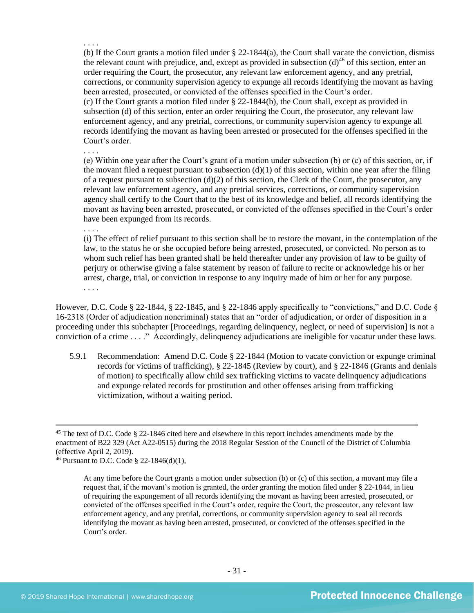(b) If the Court grants a motion filed under § 22-1844(a), the Court shall vacate the conviction, dismiss the relevant count with prejudice, and, except as provided in subsection  $(d)$ <sup>46</sup> of this section, enter an order requiring the Court, the prosecutor, any relevant law enforcement agency, and any pretrial, corrections, or community supervision agency to expunge all records identifying the movant as having been arrested, prosecuted, or convicted of the offenses specified in the Court's order. (c) If the Court grants a motion filed under § 22-1844(b), the Court shall, except as provided in subsection (d) of this section, enter an order requiring the Court, the prosecutor, any relevant law enforcement agency, and any pretrial, corrections, or community supervision agency to expunge all records identifying the movant as having been arrested or prosecuted for the offenses specified in the Court's order.

(e) Within one year after the Court's grant of a motion under subsection (b) or (c) of this section, or, if the movant filed a request pursuant to subsection  $(d)(1)$  of this section, within one year after the filing of a request pursuant to subsection (d)(2) of this section, the Clerk of the Court, the prosecutor, any relevant law enforcement agency, and any pretrial services, corrections, or community supervision agency shall certify to the Court that to the best of its knowledge and belief, all records identifying the movant as having been arrested, prosecuted, or convicted of the offenses specified in the Court's order have been expunged from its records.

. . . .

. . . .

. . . .

(i) The effect of relief pursuant to this section shall be to restore the movant, in the contemplation of the law, to the status he or she occupied before being arrested, prosecuted, or convicted. No person as to whom such relief has been granted shall be held thereafter under any provision of law to be guilty of perjury or otherwise giving a false statement by reason of failure to recite or acknowledge his or her arrest, charge, trial, or conviction in response to any inquiry made of him or her for any purpose. . . . .

However, D.C. Code § 22-1844, § 22-1845, and § 22-1846 apply specifically to "convictions," and D.C. Code § 16-2318 (Order of adjudication noncriminal) states that an "order of adjudication, or order of disposition in a proceeding under this subchapter [Proceedings, regarding delinquency, neglect, or need of supervision] is not a conviction of a crime . . . ." Accordingly, delinquency adjudications are ineligible for vacatur under these laws.

5.9.1 Recommendation: Amend D.C. Code § 22-1844 (Motion to vacate conviction or expunge criminal records for victims of trafficking), § 22-1845 (Review by court), and § 22-1846 (Grants and denials of motion) to specifically allow child sex trafficking victims to vacate delinquency adjudications and expunge related records for prostitution and other offenses arising from trafficking victimization, without a waiting period.

<sup>45</sup> The text of D.C. Code § 22-1846 cited here and elsewhere in this report includes amendments made by the enactment of B22 329 (Act A22-0515) during the 2018 Regular Session of the Council of the District of Columbia (effective April 2, 2019).

<sup>46</sup> Pursuant to D.C. Code § 22-1846(d)(1),

At any time before the Court grants a motion under subsection (b) or (c) of this section, a movant may file a request that, if the movant's motion is granted, the order granting the motion filed under § 22-1844, in lieu of requiring the expungement of all records identifying the movant as having been arrested, prosecuted, or convicted of the offenses specified in the Court's order, require the Court, the prosecutor, any relevant law enforcement agency, and any pretrial, corrections, or community supervision agency to seal all records identifying the movant as having been arrested, prosecuted, or convicted of the offenses specified in the Court's order.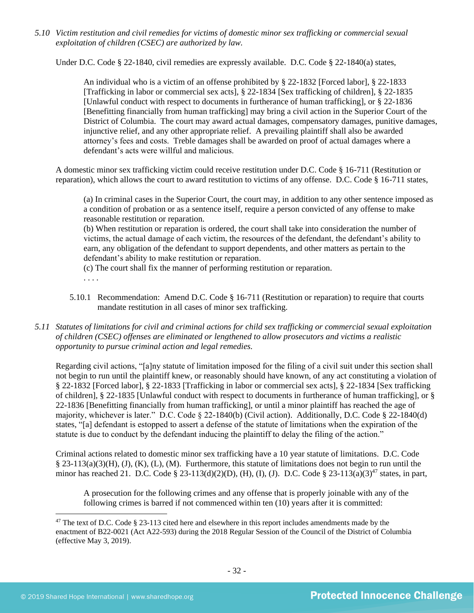*5.10 Victim restitution and civil remedies for victims of domestic minor sex trafficking or commercial sexual exploitation of children (CSEC) are authorized by law.* 

Under D.C. Code § 22-1840, civil remedies are expressly available. D.C. Code § 22-1840(a) states,

An individual who is a victim of an offense prohibited by [§ 22-1832](http://www.lexis.com/research/buttonTFLink?_m=07a112f99e7b8fc566d4fcb4c9fa62a8&_xfercite=%3ccite%20cc%3d%22USA%22%3e%3c%21%5bCDATA%5bD.C.%20Code%20%a7%2022-1840%5d%5d%3e%3c%2fcite%3e&_butType=4&_butStat=0&_butNum=2&_butInline=1&_butinfo=DCCODE%2022-1832&_fmtstr=FULL&docnum=1&_startdoc=1&wchp=dGLzVzz-zSkAA&_md5=d09117c980fc6ae3a7b6bc3a56660f67) [Forced labor], [§ 22-1833](http://www.lexis.com/research/buttonTFLink?_m=07a112f99e7b8fc566d4fcb4c9fa62a8&_xfercite=%3ccite%20cc%3d%22USA%22%3e%3c%21%5bCDATA%5bD.C.%20Code%20%a7%2022-1840%5d%5d%3e%3c%2fcite%3e&_butType=4&_butStat=0&_butNum=3&_butInline=1&_butinfo=DCCODE%2022-1833&_fmtstr=FULL&docnum=1&_startdoc=1&wchp=dGLzVzz-zSkAA&_md5=b996211e6beb44df20c43519df6654e6) [Trafficking in labor or commercial sex acts], [§ 22-1834](http://www.lexis.com/research/buttonTFLink?_m=07a112f99e7b8fc566d4fcb4c9fa62a8&_xfercite=%3ccite%20cc%3d%22USA%22%3e%3c%21%5bCDATA%5bD.C.%20Code%20%a7%2022-1840%5d%5d%3e%3c%2fcite%3e&_butType=4&_butStat=0&_butNum=4&_butInline=1&_butinfo=DCCODE%2022-1834&_fmtstr=FULL&docnum=1&_startdoc=1&wchp=dGLzVzz-zSkAA&_md5=a5557eeba140e1bcab6b6dc9c7f4621d) [Sex trafficking of children], [§ 22-1835](http://www.lexis.com/research/buttonTFLink?_m=07a112f99e7b8fc566d4fcb4c9fa62a8&_xfercite=%3ccite%20cc%3d%22USA%22%3e%3c%21%5bCDATA%5bD.C.%20Code%20%a7%2022-1840%5d%5d%3e%3c%2fcite%3e&_butType=4&_butStat=0&_butNum=5&_butInline=1&_butinfo=DCCODE%2022-1835&_fmtstr=FULL&docnum=1&_startdoc=1&wchp=dGLzVzz-zSkAA&_md5=90f235c81fba6d5127da38fd762ebe2a) [Unlawful conduct with respect to documents in furtherance of human trafficking], or [§ 22-1836](http://www.lexis.com/research/buttonTFLink?_m=07a112f99e7b8fc566d4fcb4c9fa62a8&_xfercite=%3ccite%20cc%3d%22USA%22%3e%3c%21%5bCDATA%5bD.C.%20Code%20%a7%2022-1840%5d%5d%3e%3c%2fcite%3e&_butType=4&_butStat=0&_butNum=6&_butInline=1&_butinfo=DCCODE%2022-1836&_fmtstr=FULL&docnum=1&_startdoc=1&wchp=dGLzVzz-zSkAA&_md5=e9ef8b950cc329647e4a5bc7da987e65) [Benefitting financially from human trafficking] may bring a civil action in the Superior Court of the District of Columbia. The court may award actual damages, compensatory damages, punitive damages, injunctive relief, and any other appropriate relief. A prevailing plaintiff shall also be awarded attorney's fees and costs. Treble damages shall be awarded on proof of actual damages where a defendant's acts were willful and malicious.

A domestic minor sex trafficking victim could receive restitution under D.C. Code § 16-711 (Restitution or reparation), which allows the court to award restitution to victims of any offense. D.C. Code § 16-711 states,

(a) In criminal cases in the Superior Court, the court may, in addition to any other sentence imposed as a condition of probation or as a sentence itself, require a person convicted of any offense to make reasonable restitution or reparation.

(b) When restitution or reparation is ordered, the court shall take into consideration the number of victims, the actual damage of each victim, the resources of the defendant, the defendant's ability to earn, any obligation of the defendant to support dependents, and other matters as pertain to the defendant's ability to make restitution or reparation.

(c) The court shall fix the manner of performing restitution or reparation. . . . .

- 5.10.1 Recommendation: Amend D.C. Code § 16-711 (Restitution or reparation) to require that courts mandate restitution in all cases of minor sex trafficking.
- *5.11 Statutes of limitations for civil and criminal actions for child sex trafficking or commercial sexual exploitation of children (CSEC) offenses are eliminated or lengthened to allow prosecutors and victims a realistic opportunity to pursue criminal action and legal remedies.*

Regarding civil actions, "[a]ny statute of limitation imposed for the filing of a civil suit under this section shall not begin to run until the plaintiff knew, or reasonably should have known, of any act constituting a violation of § 22-1832 [Forced labor], § 22-1833 [Trafficking in labor or commercial sex acts], § 22-1834 [Sex trafficking of children], § 22-1835 [Unlawful conduct with respect to documents in furtherance of human trafficking], or § 22-1836 [Benefitting financially from human trafficking], or until a minor plaintiff has reached the age of majority, whichever is later." D.C. Code § 22-1840(b) (Civil action). Additionally, D.C. Code § 22-1840(d) states, "[a] defendant is estopped to assert a defense of the statute of limitations when the expiration of the statute is due to conduct by the defendant inducing the plaintiff to delay the filing of the action."

Criminal actions related to domestic minor sex trafficking have a 10 year statute of limitations. D.C. Code  $\S$  23-113(a)(3)(H), (J), (K), (L), (M). Furthermore, this statute of limitations does not begin to run until the minor has reached 21. D.C. Code § 23-113(d)(2)(D), (H), (J), D.C. Code § 23-113(a)(3)<sup>47</sup> states, in part,

A prosecution for the following crimes and any offense that is properly joinable with any of the following crimes is barred if not commenced within ten (10) years after it is committed:

<sup>&</sup>lt;sup>47</sup> The text of D.C. Code § 23-113 cited here and elsewhere in this report includes amendments made by the enactment of B22-0021 (Act A22-593) during the 2018 Regular Session of the Council of the District of Columbia (effective May 3, 2019).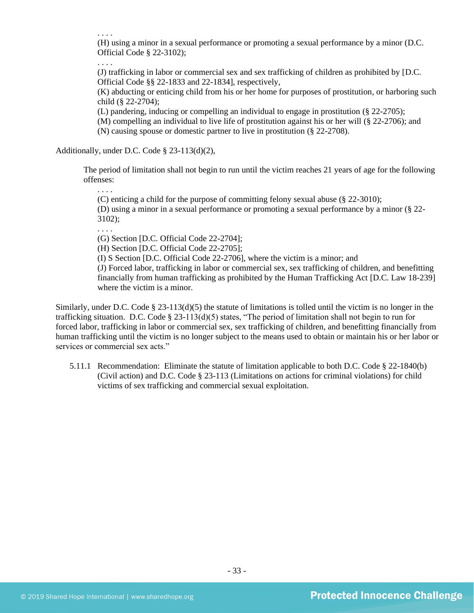. . . .

(H) using a minor in a sexual performance or promoting a sexual performance by a minor (D.C. Official Code § 22-3102);

. . . .

(J) trafficking in labor or commercial sex and sex trafficking of children as prohibited by [D.C. Official Code §§ 22-1833 and 22-1834], respectively,

(K) abducting or enticing child from his or her home for purposes of prostitution, or harboring such child (§ 22-2704);

(L) pandering, inducing or compelling an individual to engage in prostitution (§ 22-2705);

(M) compelling an individual to live life of prostitution against his or her will (§ 22-2706); and (N) causing spouse or domestic partner to live in prostitution (§ 22-2708).

Additionally, under D.C. Code § 23-113(d)(2),

The period of limitation shall not begin to run until the victim reaches 21 years of age for the following offenses:

. . . .

(C) enticing a child for the purpose of committing felony sexual abuse (§ 22-3010);

(D) using a minor in a sexual performance or promoting a sexual performance by a minor (§ 22- 3102);

. . . .

(G) Section [D.C. Official Code 22-2704];

(H) Section [D.C. Official Code 22-2705];

(I) S Section [D.C. Official Code 22-2706], where the victim is a minor; and

(J) Forced labor, trafficking in labor or commercial sex, sex trafficking of children, and benefitting financially from human trafficking as prohibited by the Human Trafficking Act [D.C. Law 18-239] where the victim is a minor.

Similarly, under D.C. Code  $\S$  23-113(d)(5) the statute of limitations is tolled until the victim is no longer in the trafficking situation. D.C. Code  $\S 23-113(d)(5)$  states, "The period of limitation shall not begin to run for forced labor, trafficking in labor or commercial sex, sex trafficking of children, and benefitting financially from human trafficking until the victim is no longer subject to the means used to obtain or maintain his or her labor or services or commercial sex acts."

5.11.1 Recommendation: Eliminate the statute of limitation applicable to both D.C. Code § 22-1840(b) (Civil action) and D.C. Code § 23-113 (Limitations on actions for criminal violations) for child victims of sex trafficking and commercial sexual exploitation.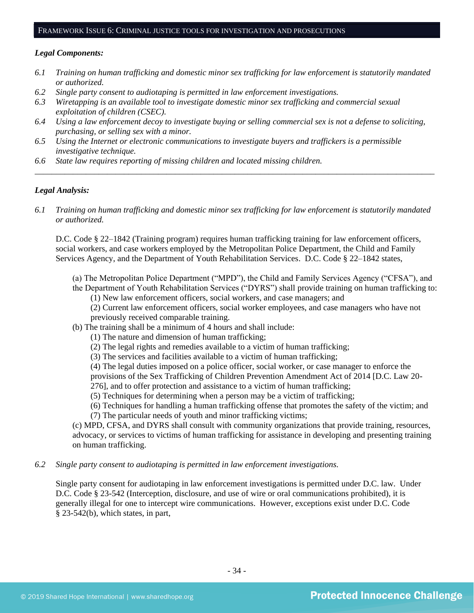## FRAMEWORK ISSUE 6: CRIMINAL JUSTICE TOOLS FOR INVESTIGATION AND PROSECUTIONS

#### *Legal Components:*

- *6.1 Training on human trafficking and domestic minor sex trafficking for law enforcement is statutorily mandated or authorized.*
- *6.2 Single party consent to audiotaping is permitted in law enforcement investigations.*
- *6.3 Wiretapping is an available tool to investigate domestic minor sex trafficking and commercial sexual exploitation of children (CSEC).*
- *6.4 Using a law enforcement decoy to investigate buying or selling commercial sex is not a defense to soliciting, purchasing, or selling sex with a minor.*
- *6.5 Using the Internet or electronic communications to investigate buyers and traffickers is a permissible investigative technique.*
- *6.6 State law requires reporting of missing children and located missing children.*

#### *Legal Analysis:*

*6.1 Training on human trafficking and domestic minor sex trafficking for law enforcement is statutorily mandated or authorized.*

*\_\_\_\_\_\_\_\_\_\_\_\_\_\_\_\_\_\_\_\_\_\_\_\_\_\_\_\_\_\_\_\_\_\_\_\_\_\_\_\_\_\_\_\_\_\_\_\_\_\_\_\_\_\_\_\_\_\_\_\_\_\_\_\_\_\_\_\_\_\_\_\_\_\_\_\_\_\_\_\_\_\_\_\_\_\_\_\_\_\_\_\_\_\_*

D.C. Code § 22–1842 (Training program) requires human trafficking training for law enforcement officers, social workers, and case workers employed by the Metropolitan Police Department, the Child and Family Services Agency, and the Department of Youth Rehabilitation Services. D.C. Code § 22–1842 states,

- (a) The Metropolitan Police Department ("MPD"), the Child and Family Services Agency ("CFSA"), and the Department of Youth Rehabilitation Services ("DYRS") shall provide training on human trafficking to:
	- (1) New law enforcement officers, social workers, and case managers; and

(2) Current law enforcement officers, social worker employees, and case managers who have not previously received comparable training.

- (b) The training shall be a minimum of 4 hours and shall include:
	- (1) The nature and dimension of human trafficking;
	- (2) The legal rights and remedies available to a victim of human trafficking;
	- (3) The services and facilities available to a victim of human trafficking;

(4) The legal duties imposed on a police officer, social worker, or case manager to enforce the

provisions of the Sex Trafficking of Children Prevention Amendment Act of 2014 [D.C. Law 20-

276], and to offer protection and assistance to a victim of human trafficking;

(5) Techniques for determining when a person may be a victim of trafficking;

(6) Techniques for handling a human trafficking offense that promotes the safety of the victim; and (7) The particular needs of youth and minor trafficking victims;

(c) MPD, CFSA, and DYRS shall consult with community organizations that provide training, resources, advocacy, or services to victims of human trafficking for assistance in developing and presenting training on human trafficking.

*6.2 Single party consent to audiotaping is permitted in law enforcement investigations.*

Single party consent for audiotaping in law enforcement investigations is permitted under D.C. law. Under D.C. Code § 23-542 (Interception, disclosure, and use of wire or oral communications prohibited), it is generally illegal for one to intercept wire communications. However, exceptions exist under D.C. Code § 23-542(b), which states, in part,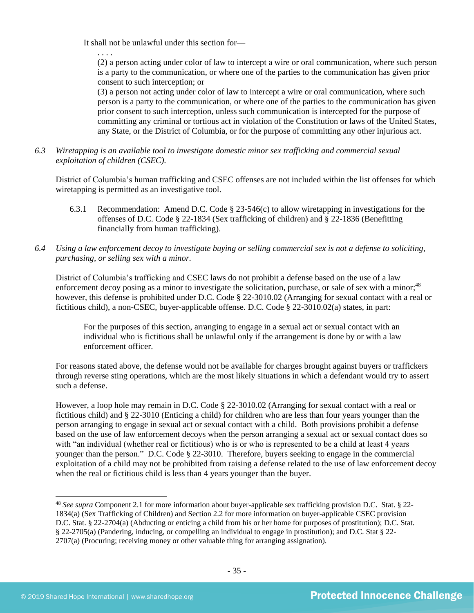It shall not be unlawful under this section for—

. . . .

(2) a person acting under color of law to intercept a wire or oral communication, where such person is a party to the communication, or where one of the parties to the communication has given prior consent to such interception; or

(3) a person not acting under color of law to intercept a wire or oral communication, where such person is a party to the communication, or where one of the parties to the communication has given prior consent to such interception, unless such communication is intercepted for the purpose of committing any criminal or tortious act in violation of the Constitution or laws of the United States, any State, or the District of Columbia, or for the purpose of committing any other injurious act.

*6.3 Wiretapping is an available tool to investigate domestic minor sex trafficking and commercial sexual exploitation of children (CSEC).* 

District of Columbia's human trafficking and CSEC offenses are not included within the list offenses for which wiretapping is permitted as an investigative tool.

- 6.3.1 Recommendation: Amend D.C. Code § 23-546(c) to allow wiretapping in investigations for the offenses of D.C. Code § 22-1834 (Sex trafficking of children) and § 22-1836 (Benefitting financially from human trafficking).
- *6.4 Using a law enforcement decoy to investigate buying or selling commercial sex is not a defense to soliciting, purchasing, or selling sex with a minor.*

District of Columbia's trafficking and CSEC laws do not prohibit a defense based on the use of a law enforcement decoy posing as a minor to investigate the solicitation, purchase, or sale of sex with a minor;<sup>48</sup> however, this defense is prohibited under D.C. Code § 22-3010.02 (Arranging for sexual contact with a real or fictitious child), a non-CSEC, buyer-applicable offense. D.C. Code § 22-3010.02(a) states, in part:

For the purposes of this section, arranging to engage in a sexual act or sexual contact with an individual who is fictitious shall be unlawful only if the arrangement is done by or with a law enforcement officer.

For reasons stated above, the defense would not be available for charges brought against buyers or traffickers through reverse sting operations, which are the most likely situations in which a defendant would try to assert such a defense.

However, a loop hole may remain in D.C. Code § 22-3010.02 (Arranging for sexual contact with a real or fictitious child) and § 22-3010 (Enticing a child) for children who are less than four years younger than the person arranging to engage in sexual act or sexual contact with a child. Both provisions prohibit a defense based on the use of law enforcement decoys when the person arranging a sexual act or sexual contact does so with "an individual (whether real or fictitious) who is or who is represented to be a child at least 4 years younger than the person." D.C. Code § 22-3010. Therefore, buyers seeking to engage in the commercial exploitation of a child may not be prohibited from raising a defense related to the use of law enforcement decoy when the real or fictitious child is less than 4 years younger than the buyer.

<sup>48</sup> *See supra* Component 2.1 for more information about buyer-applicable sex trafficking provision D.C. Stat. § 22- 1834(a) (Sex Trafficking of Children) and Section 2.2 for more information on buyer-applicable CSEC provision D.C. Stat. § 22-2704(a) (Abducting or enticing a child from his or her home for purposes of prostitution); D.C. Stat. § 22-2705(a) (Pandering, inducing, or compelling an individual to engage in prostitution); and D.C. Stat § 22- 2707(a) (Procuring; receiving money or other valuable thing for arranging assignation).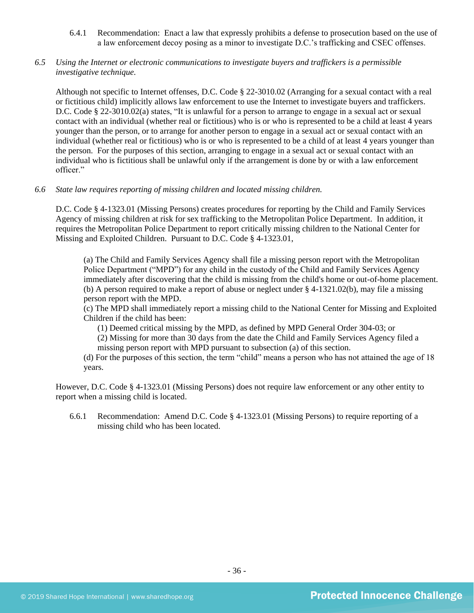- 6.4.1 Recommendation: Enact a law that expressly prohibits a defense to prosecution based on the use of a law enforcement decoy posing as a minor to investigate D.C.'s trafficking and CSEC offenses.
- *6.5 Using the Internet or electronic communications to investigate buyers and traffickers is a permissible investigative technique.*

Although not specific to Internet offenses, D.C. Code § 22-3010.02 (Arranging for a sexual contact with a real or fictitious child) implicitly allows law enforcement to use the Internet to investigate buyers and traffickers. D.C. Code § 22-3010.02(a) states, "It is unlawful for a person to arrange to engage in a sexual act or sexual contact with an individual (whether real or fictitious) who is or who is represented to be a child at least 4 years younger than the person, or to arrange for another person to engage in a sexual act or sexual contact with an individual (whether real or fictitious) who is or who is represented to be a child of at least 4 years younger than the person. For the purposes of this section, arranging to engage in a sexual act or sexual contact with an individual who is fictitious shall be unlawful only if the arrangement is done by or with a law enforcement officer."

*6.6 State law requires reporting of missing children and located missing children.*

D.C. Code § 4-1323.01 (Missing Persons) creates procedures for reporting by the Child and Family Services Agency of missing children at risk for sex trafficking to the Metropolitan Police Department. In addition, it requires the Metropolitan Police Department to report critically missing children to the National Center for Missing and Exploited Children. Pursuant to D.C. Code § 4-1323.01,

(a) The Child and Family Services Agency shall file a missing person report with the Metropolitan Police Department ("MPD") for any child in the custody of the Child and Family Services Agency immediately after discovering that the child is missing from the child's home or out-of-home placement. (b) A person required to make a report of abuse or neglect under § 4-1321.02(b), may file a missing person report with the MPD.

(c) The MPD shall immediately report a missing child to the National Center for Missing and Exploited Children if the child has been:

(1) Deemed critical missing by the MPD, as defined by MPD General Order 304-03; or

(2) Missing for more than 30 days from the date the Child and Family Services Agency filed a missing person report with MPD pursuant to subsection (a) of this section.

(d) For the purposes of this section, the term "child" means a person who has not attained the age of 18 years.

However, D.C. Code § 4-1323.01 (Missing Persons) does not require law enforcement or any other entity to report when a missing child is located.

6.6.1 Recommendation: Amend D.C. Code § 4-1323.01 (Missing Persons) to require reporting of a missing child who has been located.